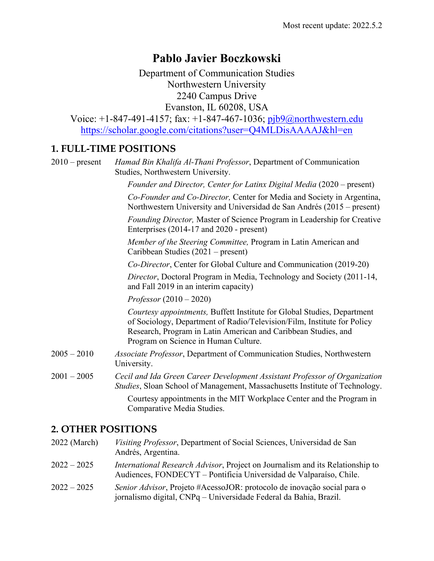# **Pablo Javier Boczkowski**

Department of Communication Studies Northwestern University 2240 Campus Drive Evanston, IL 60208, USA

Voice:  $+1-847-491-4157$ ; fax:  $+1-847-467-1036$ ; pjb9@northwestern.edu https://scholar.google.com/citations?user=Q4MLDisAAAAJ&hl=en

## **1. FULL-TIME POSITIONS**

2010 – present *Hamad Bin Khalifa Al-Thani Professor*, Department of Communication Studies, Northwestern University.

*Founder and Director, Center for Latinx Digital Media* (2020 – present)

*Co-Founder and Co-Director,* Center for Media and Society in Argentina, Northwestern University and Universidad de San Andrés (2015 – present)

*Founding Director,* Master of Science Program in Leadership for Creative Enterprises (2014-17 and 2020 - present)

*Member of the Steering Committee,* Program in Latin American and Caribbean Studies (2021 – present)

*Co-Director*, Center for Global Culture and Communication (2019-20)

*Director*, Doctoral Program in Media, Technology and Society (2011-14, and Fall 2019 in an interim capacity)

*Professor* (2010 – 2020)

*Courtesy appointments,* Buffett Institute for Global Studies, Department of Sociology, Department of Radio/Television/Film, Institute for Policy Research, Program in Latin American and Caribbean Studies, and Program on Science in Human Culture.

- 2005 2010 *Associate Professor*, Department of Communication Studies, Northwestern University.
- 2001 2005 *Cecil and Ida Green Career Development Assistant Professor of Organization Studies*, Sloan School of Management, Massachusetts Institute of Technology.

Courtesy appointments in the MIT Workplace Center and the Program in Comparative Media Studies.

## **2. OTHER POSITIONS**

2022 (March) *Visiting Professor*, Department of Social Sciences, Universidad de San Andrés, Argentina. 2022 – 2025 *International Research Advisor*, Project on Journalism and its Relationship to Audiences, FONDECYT – Pontificia Universidad de Valparaíso, Chile. 2022 – 2025 *Senior Advisor*, Projeto #AcessoJOR: protocolo de inovação social para o jornalismo digital, CNPq – Universidade Federal da Bahia, Brazil.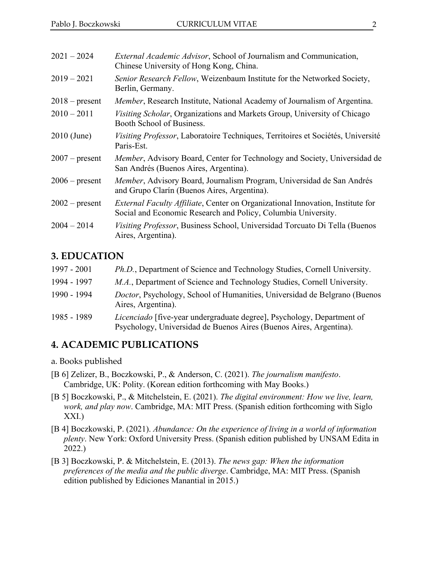| $2021 - 2024$    | External Academic Advisor, School of Journalism and Communication,<br>Chinese University of Hong Kong, China.                                          |
|------------------|--------------------------------------------------------------------------------------------------------------------------------------------------------|
| $2019 - 2021$    | Senior Research Fellow, Weizenbaum Institute for the Networked Society,<br>Berlin, Germany.                                                            |
| $2018$ – present | Member, Research Institute, National Academy of Journalism of Argentina.                                                                               |
| $2010 - 2011$    | Visiting Scholar, Organizations and Markets Group, University of Chicago<br>Booth School of Business.                                                  |
| $2010$ (June)    | Visiting Professor, Laboratoire Techniques, Territoires et Sociétés, Université<br>Paris-Est.                                                          |
| $2007$ – present | Member, Advisory Board, Center for Technology and Society, Universidad de<br>San Andrés (Buenos Aires, Argentina).                                     |
| $2006$ – present | Member, Advisory Board, Journalism Program, Universidad de San Andrés<br>and Grupo Clarín (Buenos Aires, Argentina).                                   |
| $2002$ – present | <i>External Faculty Affiliate, Center on Organizational Innovation, Institute for</i><br>Social and Economic Research and Policy, Columbia University. |
| $2004 - 2014$    | Visiting Professor, Business School, Universidad Torcuato Di Tella (Buenos<br>Aires, Argentina).                                                       |

#### **3. EDUCATION**

| $1997 - 2001$ | Ph.D., Department of Science and Technology Studies, Cornell University.                                                                     |
|---------------|----------------------------------------------------------------------------------------------------------------------------------------------|
| 1994 - 1997   | M.A., Department of Science and Technology Studies, Cornell University.                                                                      |
| 1990 - 1994   | <i>Doctor</i> , Psychology, School of Humanities, Universidad de Belgrano (Buenos<br>Aires, Argentina).                                      |
| 1985 - 1989   | Licenciado [five-year undergraduate degree], Psychology, Department of<br>Psychology, Universidad de Buenos Aires (Buenos Aires, Argentina). |

#### **4. ACADEMIC PUBLICATIONS**

- a. Books published
- [B 6] Zelizer, B., Boczkowski, P., & Anderson, C. (2021). *The journalism manifesto*. Cambridge, UK: Polity. (Korean edition forthcoming with May Books.)
- [B 5] Boczkowski, P., & Mitchelstein, E. (2021). *The digital environment: How we live, learn, work, and play now*. Cambridge, MA: MIT Press. (Spanish edition forthcoming with Siglo XXI.)
- [B 4] Boczkowski, P. (2021). *Abundance: On the experience of living in a world of information plenty*. New York: Oxford University Press. (Spanish edition published by UNSAM Edita in 2022.)
- [B 3] Boczkowski, P. & Mitchelstein, E. (2013). *The news gap: When the information preferences of the media and the public diverge*. Cambridge, MA: MIT Press. (Spanish edition published by Ediciones Manantial in 2015.)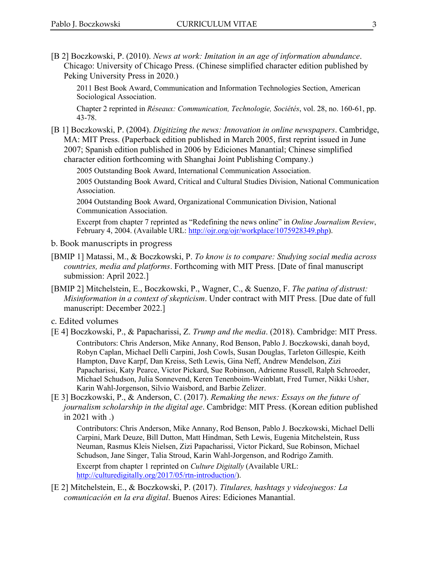[B 2] Boczkowski, P. (2010). *News at work: Imitation in an age of information abundance*. Chicago: University of Chicago Press. (Chinese simplified character edition published by Peking University Press in 2020.)

2011 Best Book Award, Communication and Information Technologies Section, American Sociological Association.

Chapter 2 reprinted in *Réseaux: Communication, Technologie, Sociétés*, vol. 28, no. 160-61, pp. 43-78.

[B 1] Boczkowski, P. (2004). *Digitizing the news: Innovation in online newspapers*. Cambridge, MA: MIT Press. (Paperback edition published in March 2005, first reprint issued in June 2007; Spanish edition published in 2006 by Ediciones Manantial; Chinese simplified character edition forthcoming with Shanghai Joint Publishing Company.)

2005 Outstanding Book Award, International Communication Association.

2005 Outstanding Book Award, Critical and Cultural Studies Division, National Communication Association.

2004 Outstanding Book Award, Organizational Communication Division, National Communication Association.

Excerpt from chapter 7 reprinted as "Redefining the news online" in *Online Journalism Review*, February 4, 2004. (Available URL: http://ojr.org/ojr/workplace/1075928349.php).

- b. Book manuscripts in progress
- [BMIP 1] Matassi, M., & Boczkowski, P. *To know is to compare: Studying social media across countries, media and platforms*. Forthcoming with MIT Press. [Date of final manuscript submission: April 2022.]
- [BMIP 2] Mitchelstein, E., Boczkowski, P., Wagner, C., & Suenzo, F. *The patina of distrust: Misinformation in a context of skepticism*. Under contract with MIT Press. [Due date of full manuscript: December 2022.]
- c. Edited volumes
- [E 4] Boczkowski, P., & Papacharissi, Z. *Trump and the media*. (2018). Cambridge: MIT Press. Contributors: Chris Anderson, Mike Annany, Rod Benson, Pablo J. Boczkowski, danah boyd, Robyn Caplan, Michael Delli Carpini, Josh Cowls, Susan Douglas, Tarleton Gillespie, Keith Hampton, Dave Karpf, Dan Kreiss, Seth Lewis, Gina Neff, Andrew Mendelson, Zizi Papacharissi, Katy Pearce, Victor Pickard, Sue Robinson, Adrienne Russell, Ralph Schroeder, Michael Schudson, Julia Sonnevend, Keren Tenenboim-Weinblatt, Fred Turner, Nikki Usher, Karin Wahl-Jorgenson, Silvio Waisbord, and Barbie Zelizer.
- [E 3] Boczkowski, P., & Anderson, C. (2017). *Remaking the news: Essays on the future of journalism scholarship in the digital age*. Cambridge: MIT Press. (Korean edition published in 2021 with .)

Contributors: Chris Anderson, Mike Annany, Rod Benson, Pablo J. Boczkowski, Michael Delli Carpini, Mark Deuze, Bill Dutton, Matt Hindman, Seth Lewis, Eugenia Mitchelstein, Russ Neuman, Rasmus Kleis Nielsen, Zizi Papacharissi, Victor Pickard, Sue Robinson, Michael Schudson, Jane Singer, Talia Stroud, Karin Wahl-Jorgenson, and Rodrigo Zamith.

Excerpt from chapter 1 reprinted on *Culture Digitally* (Available URL: http://culturedigitally.org/2017/05/rtn-introduction/).

[E 2] Mitchelstein, E., & Boczkowski, P. (2017). *Titulares, hashtags y videojuegos: La comunicación en la era digital*. Buenos Aires: Ediciones Manantial.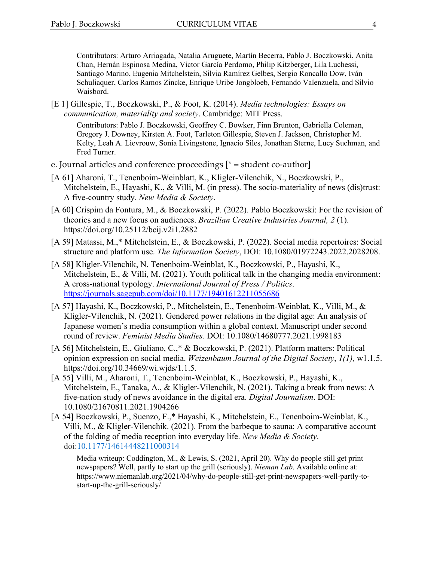Contributors: Arturo Arriagada, Natalia Aruguete, Martín Becerra, Pablo J. Boczkowski, Anita Chan, Hernán Espinosa Medina, Víctor García Perdomo, Philip Kitzberger, Lila Luchessi, Santiago Marino, Eugenia Mitchelstein, Silvia Ramírez Gelbes, Sergio Roncallo Dow, Iván Schuliaquer, Carlos Ramos Zincke, Enrique Uribe Jongbloeb, Fernando Valenzuela, and Silvio Waisbord.

[E 1] Gillespie, T., Boczkowski, P., & Foot, K. (2014). *Media technologies: Essays on communication, materiality and society*. Cambridge: MIT Press.

Contributors: Pablo J. Boczkowski, Geoffrey C. Bowker, Finn Brunton, Gabriella Coleman, Gregory J. Downey, Kirsten A. Foot, Tarleton Gillespie, Steven J. Jackson, Christopher M. Kelty, Leah A. Lievrouw, Sonia Livingstone, Ignacio Siles, Jonathan Sterne, Lucy Suchman, and Fred Turner.

- e. Journal articles and conference proceedings  $[{}^*$  = student co-author]
- [A 61] Aharoni, T., Tenenboim-Weinblatt, K., Kligler-Vilenchik, N., Boczkowski, P., Mitchelstein, E., Hayashi, K., & Villi, M. (in press). The socio-materiality of news (dis)trust: A five-country study*. New Media & Society*.
- [A 60] Crispim da Fontura, M., & Boczkowski, P. (2022). Pablo Boczkowski: For the revision of theories and a new focus on audiences. *Brazilian Creative Industries Journal, 2* (1). https://doi.org/10.25112/bcij.v2i1.2882
- [A 59] Matassi, M.,\* Mitchelstein, E., & Boczkowski, P. (2022). Social media repertoires: Social structure and platform use. *The Information Society*, DOI: 10.1080/01972243.2022.2028208.
- [A 58] Kligler-Vilenchik, N. Tenenboim-Weinblat, K., Boczkowski, P., Hayashi, K., Mitchelstein, E., & Villi, M. (2021). Youth political talk in the changing media environment: A cross-national typology. *International Journal of Press / Politics*. https://journals.sagepub.com/doi/10.1177/19401612211055686
- [A 57] Hayashi, K., Boczkowski, P., Mitchelstein, E., Tenenboim-Weinblat, K., Villi, M., & Kligler-Vilenchik, N. (2021). Gendered power relations in the digital age: An analysis of Japanese women's media consumption within a global context. Manuscript under second round of review. *Feminist Media Studies*. DOI: 10.1080/14680777.2021.1998183
- [A 56] Mitchelstein, E., Giuliano, C.,\* & Boczkowski, P. (2021). Platform matters: Political opinion expression on social media. *Weizenbaum Journal of the Digital Society*, *1(1),* w1.1.5. https://doi.org/10.34669/wi.wjds/1.1.5.
- [A 55] Villi, M., Aharoni, T., Tenenboim-Weinblat, K., Boczkowski, P., Hayashi, K., Mitchelstein, E., Tanaka, A., & Kligler-Vilenchik, N. (2021). Taking a break from news: A five-nation study of news avoidance in the digital era. *Digital Journalism*. DOI: 10.1080/21670811.2021.1904266
- [A 54] Boczkowski, P., Suenzo, F.,\* Hayashi, K., Mitchelstein, E., Tenenboim-Weinblat, K., Villi, M., & Kligler-Vilenchik. (2021). From the barbeque to sauna: A comparative account of the folding of media reception into everyday life. *New Media & Society*. doi:10.1177/14614448211000314

Media writeup: Coddington, M., & Lewis, S. (2021, April 20). Why do people still get print newspapers? Well, partly to start up the grill (seriously). *Nieman Lab*. Available online at: https://www.niemanlab.org/2021/04/why-do-people-still-get-print-newspapers-well-partly-tostart-up-the-grill-seriously/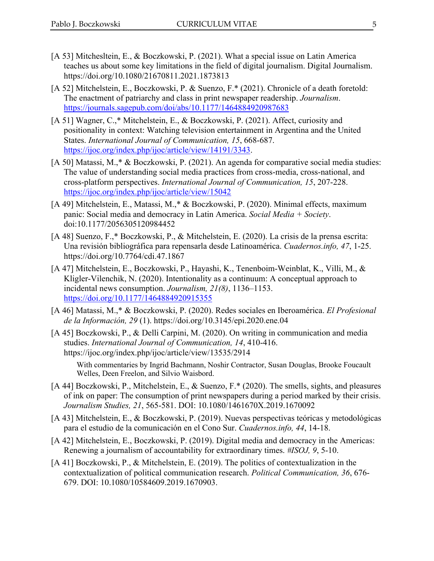- [A 53] Mitchesltein, E., & Boczkowski, P. (2021). What a special issue on Latin America teaches us about some key limitations in the field of digital journalism. Digital Journalism. https://doi.org/10.1080/21670811.2021.1873813
- [A 52] Mitchelstein, E., Boczkowski, P. & Suenzo, F.\* (2021). Chronicle of a death foretold: The enactment of patriarchy and class in print newspaper readership. *Journalism*. https://journals.sagepub.com/doi/abs/10.1177/1464884920987683
- [A 51] Wagner, C.,\* Mitchelstein, E., & Boczkowski, P. (2021). Affect, curiosity and positionality in context: Watching television entertainment in Argentina and the United States. *International Journal of Communication, 15*, 668-687. https://ijoc.org/index.php/ijoc/article/view/14191/3343.
- [A 50] Matassi, M.,\* & Boczkowski, P. (2021). An agenda for comparative social media studies: The value of understanding social media practices from cross-media, cross-national, and cross-platform perspectives. *International Journal of Communication, 15*, 207-228. https://ijoc.org/index.php/ijoc/article/view/15042
- [A 49] Mitchelstein, E., Matassi, M.,\* & Boczkowski, P. (2020). Minimal effects, maximum panic: Social media and democracy in Latin America. *Social Media + Society*. doi:10.1177/2056305120984452
- [A 48] Suenzo, F.,\* Boczkowski, P., & Mitchelstein, E. (2020). La crisis de la prensa escrita: Una revisión bibliográfica para repensarla desde Latinoamérica. *Cuadernos.info, 47*, 1-25. https://doi.org/10.7764/cdi.47.1867
- [A 47] Mitchelstein, E., Boczkowski, P., Hayashi, K., Tenenboim-Weinblat, K., Villi, M., & Kligler-Vilenchik, N. (2020). Intentionality as a continuum: A conceptual approach to incidental news consumption. *Journalism, 21(8)*, 1136–1153. https://doi.org/10.1177/1464884920915355
- [A 46] Matassi, M.,\* & Boczkowski, P. (2020). Redes sociales en Iberoamérica. *El Profesional de la Información, 29* (1). https://doi.org/10.3145/epi.2020.ene.04
- [A 45] Boczkowski, P., & Delli Carpini, M. (2020). On writing in communication and media studies. *International Journal of Communication, 14*, 410-416. https://ijoc.org/index.php/ijoc/article/view/13535/2914

With commentaries by Ingrid Bachmann, Noshir Contractor, Susan Douglas, Brooke Foucault Welles, Deen Freelon, and Silvio Waisbord.

- [A 44] Boczkowski, P., Mitchelstein, E., & Suenzo, F.\* (2020). The smells, sights, and pleasures of ink on paper: The consumption of print newspapers during a period marked by their crisis. *Journalism Studies, 21*, 565-581. DOI: 10.1080/1461670X.2019.1670092
- [A 43] Mitchelstein, E., & Boczkowski, P. (2019). Nuevas perspectivas teóricas y metodológicas para el estudio de la comunicación en el Cono Sur. *Cuadernos.info, 44*, 14-18.
- [A 42] Mitchelstein, E., Boczkowski, P. (2019). Digital media and democracy in the Americas: Renewing a journalism of accountability for extraordinary times. *#ISOJ, 9*, 5-10.
- [A 41] Boczkowski, P., & Mitchelstein, E. (2019). The politics of contextualization in the contextualization of political communication research. *Political Communication, 36*, 676- 679. DOI: 10.1080/10584609.2019.1670903.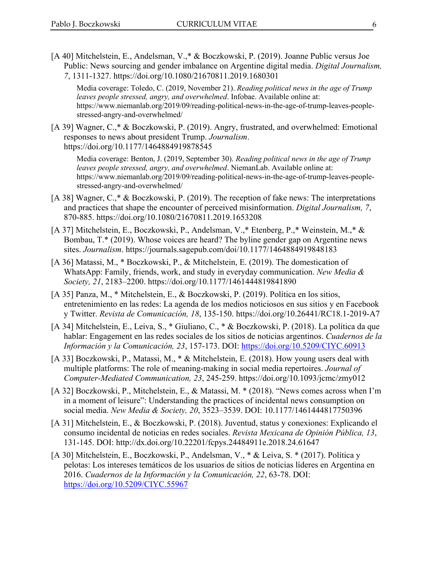[A 40] Mitchelstein, E., Andelsman, V.,\* & Boczkowski, P. (2019). Joanne Public versus Joe Public: News sourcing and gender imbalance on Argentine digital media. *Digital Journalism, 7*, 1311-1327. https://doi.org/10.1080/21670811.2019.1680301

Media coverage: Toledo, C. (2019, November 21). *Reading political news in the age of Trump leaves people stressed, angry, and overwhelmed*. Infobae. Available online at: https://www.niemanlab.org/2019/09/reading-political-news-in-the-age-of-trump-leaves-peoplestressed-angry-and-overwhelmed/

[A 39] Wagner, C.,\* & Boczkowski, P. (2019). Angry, frustrated, and overwhelmed: Emotional responses to news about president Trump. *Journalism*. https://doi.org/10.1177/1464884919878545

Media coverage: Benton, J. (2019, September 30). *Reading political news in the age of Trump leaves people stressed, angry, and overwhelmed*. NiemanLab. Available online at: https://www.niemanlab.org/2019/09/reading-political-news-in-the-age-of-trump-leaves-peoplestressed-angry-and-overwhelmed/

- [A 38] Wagner, C.,\* & Boczkowski, P. (2019). The reception of fake news: The interpretations and practices that shape the encounter of perceived misinformation. *Digital Journalism, 7*, 870-885. https://doi.org/10.1080/21670811.2019.1653208
- [A 37] Mitchelstein, E., Boczkowski, P., Andelsman, V.,\* Etenberg, P.,\* Weinstein, M.,\* & Bombau, T.\* (2019). Whose voices are heard? The byline gender gap on Argentine news sites. *Journalism*. https://journals.sagepub.com/doi/10.1177/1464884919848183
- [A 36] Matassi, M., \* Boczkowski, P., & Mitchelstein, E. (2019). The domestication of WhatsApp: Family, friends, work, and study in everyday communication. *New Media & Society, 21*, 2183–2200. https://doi.org/10.1177/1461444819841890
- [A 35] Panza, M., \* Mitchelstein, E., & Boczkowski, P. (2019). Política en los sitios, entretenimiento en las redes: La agenda de los medios noticiosos en sus sitios y en Facebook y Twitter. *Revista de Comunicación, 18*, 135-150. https://doi.org/10.26441/RC18.1-2019-A7
- [A 34] Mitchelstein, E., Leiva, S., \* Giuliano, C., \* & Boczkowski, P. (2018). La política da que hablar: Engagement en las redes sociales de los sitios de noticias argentinos. *Cuadernos de la Información y la Comunicación, 23*, 157-173. DOI: https://doi.org/10.5209/CIYC.60913
- [A 33] Boczkowski, P., Matassi, M., \* & Mitchelstein, E. (2018). How young users deal with multiple platforms: The role of meaning-making in social media repertoires. *Journal of Computer-Mediated Communication, 23*, 245-259. https://doi.org/10.1093/jcmc/zmy012
- [A 32] Boczkowski, P., Mitchelstein, E., & Matassi, M. \* (2018). "News comes across when I'm in a moment of leisure": Understanding the practices of incidental news consumption on social media. *New Media & Society, 20*, 3523–3539. DOI: 10.1177/1461444817750396
- [A 31] Mitchelstein, E., & Boczkowski, P. (2018). Juventud, status y conexiones: Explicando el consumo incidental de noticias en redes sociales. *Revista Mexicana de Opinión Pública, 13*, 131-145. DOI: http://dx.doi.org/10.22201/fcpys.24484911e.2018.24.61647
- [A 30] Mitchelstein, E., Boczkowski, P., Andelsman, V., \* & Leiva, S. \* (2017). Política y pelotas: Los intereses temáticos de los usuarios de sitios de noticias líderes en Argentina en 2016. *Cuadernos de la Información y la Comunicación, 22*, 63-78. DOI: https://doi.org/10.5209/CIYC.55967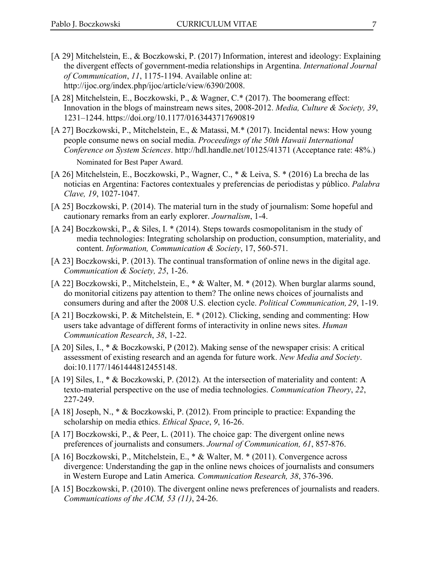- [A 29] Mitchelstein, E., & Boczkowski, P. (2017) Information, interest and ideology: Explaining the divergent effects of government-media relationships in Argentina. *International Journal of Communication*, *11*, 1175-1194. Available online at: http://ijoc.org/index.php/ijoc/article/view/6390/2008.
- [A 28] Mitchelstein, E., Boczkowski, P., & Wagner, C.\* (2017). The boomerang effect: Innovation in the blogs of mainstream news sites, 2008-2012. *Media, Culture & Society, 39*, 1231–1244. https://doi.org/10.1177/0163443717690819
- [A 27] Boczkowski, P., Mitchelstein, E., & Matassi, M.\* (2017). Incidental news: How young people consume news on social media. *Proceedings of the 50th Hawaii International Conference on System Sciences*. http://hdl.handle.net/10125/41371 (Acceptance rate: 48%.) Nominated for Best Paper Award.
- [A 26] Mitchelstein, E., Boczkowski, P., Wagner, C., \* & Leiva, S. \* (2016) La brecha de las noticias en Argentina: Factores contextuales y preferencias de periodistas y público. *Palabra Clave, 19*, 1027-1047.
- [A 25] Boczkowski, P. (2014). The material turn in the study of journalism: Some hopeful and cautionary remarks from an early explorer. *Journalism*, 1-4.
- [A 24] Boczkowski, P., & Siles, I. \* (2014). Steps towards cosmopolitanism in the study of media technologies: Integrating scholarship on production, consumption, materiality, and content. *Information, Communication & Society*, 17, 560-571.
- [A 23] Boczkowski, P. (2013). The continual transformation of online news in the digital age. *Communication & Society, 25*, 1-26.
- [A 22] Boczkowski, P., Mitchelstein, E., \* & Walter, M. \* (2012). When burglar alarms sound, do monitorial citizens pay attention to them? The online news choices of journalists and consumers during and after the 2008 U.S. election cycle. *Political Communication, 29*, 1-19.
- [A 21] Boczkowski, P. & Mitchelstein, E. \* (2012). Clicking, sending and commenting: How users take advantage of different forms of interactivity in online news sites. *Human Communication Research*, *38*, 1-22.
- [A 20] Siles, I., \* & Boczkowski, P (2012). Making sense of the newspaper crisis: A critical assessment of existing research and an agenda for future work. *New Media and Society*. doi:10.1177/1461444812455148.
- [A 19] Siles, I., \* & Boczkowski, P. (2012). At the intersection of materiality and content: A texto-material perspective on the use of media technologies. *Communication Theory*, *22*, 227-249.
- [A 18] Joseph, N., \* & Boczkowski, P. (2012). From principle to practice: Expanding the scholarship on media ethics. *Ethical Space*, *9*, 16-26.
- [A 17] Boczkowski, P., & Peer, L. (2011). The choice gap: The divergent online news preferences of journalists and consumers. *Journal of Communication, 61*, 857-876.
- [A 16] Boczkowski, P., Mitchelstein, E., \* & Walter, M. \* (2011). Convergence across divergence: Understanding the gap in the online news choices of journalists and consumers in Western Europe and Latin America*. Communication Research, 38*, 376-396.
- [A 15] Boczkowski, P. (2010). The divergent online news preferences of journalists and readers. *Communications of the ACM, 53 (11)*, 24-26.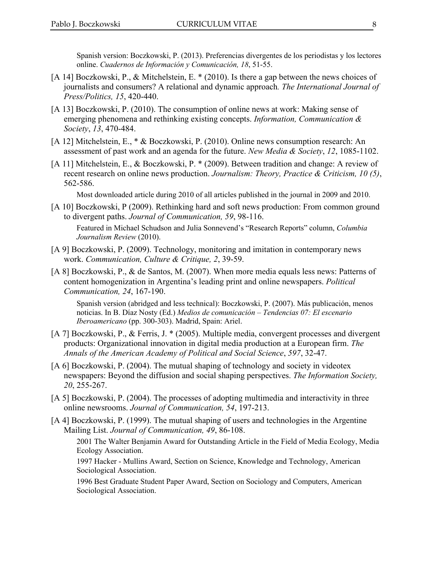Spanish version: Boczkowski, P. (2013). Preferencias divergentes de los periodistas y los lectores online. *Cuadernos de Información y Comunicación, 18*, 51-55.

- [A 14] Boczkowski, P., & Mitchelstein, E. \* (2010). Is there a gap between the news choices of journalists and consumers? A relational and dynamic approach*. The International Journal of Press/Politics, 15*, 420-440.
- [A 13] Boczkowski, P. (2010). The consumption of online news at work: Making sense of emerging phenomena and rethinking existing concepts. *Information, Communication & Society*, *13*, 470-484.
- [A 12] Mitchelstein, E., \* & Boczkowski, P. (2010). Online news consumption research: An assessment of past work and an agenda for the future. *New Media & Society*, *12*, 1085-1102.
- [A 11] Mitchelstein, E., & Boczkowski, P. \* (2009). Between tradition and change: A review of recent research on online news production. *Journalism: Theory, Practice & Criticism, 10 (5)*, 562-586.

Most downloaded article during 2010 of all articles published in the journal in 2009 and 2010.

[A 10] Boczkowski, P (2009). Rethinking hard and soft news production: From common ground to divergent paths. *Journal of Communication, 59*, 98-116.

Featured in Michael Schudson and Julia Sonnevend's "Research Reports" column, *Columbia Journalism Review* (2010).

- [A 9] Boczkowski, P. (2009). Technology, monitoring and imitation in contemporary news work. *Communication, Culture & Critique, 2*, 39-59.
- [A 8] Boczkowski, P., & de Santos, M. (2007). When more media equals less news: Patterns of content homogenization in Argentina's leading print and online newspapers. *Political Communication, 24*, 167-190.

Spanish version (abridged and less technical): Boczkowski, P. (2007). Más publicación, menos noticias. In B. Díaz Nosty (Ed.) *Medios de comunicación – Tendencias 07: El escenario Iberoamericano* (pp. 300-303). Madrid, Spain: Ariel.

- [A 7] Boczkowski, P., & Ferris, J. \* (2005). Multiple media, convergent processes and divergent products: Organizational innovation in digital media production at a European firm. *The Annals of the American Academy of Political and Social Science*, *597*, 32-47.
- [A 6] Boczkowski, P. (2004). The mutual shaping of technology and society in videotex newspapers: Beyond the diffusion and social shaping perspectives. *The Information Society, 20*, 255-267.
- [A 5] Boczkowski, P. (2004). The processes of adopting multimedia and interactivity in three online newsrooms. *Journal of Communication, 54*, 197-213.
- [A 4] Boczkowski, P. (1999). The mutual shaping of users and technologies in the Argentine Mailing List. *Journal of Communication, 49*, 86-108.

2001 The Walter Benjamin Award for Outstanding Article in the Field of Media Ecology, Media Ecology Association.

1997 Hacker - Mullins Award, Section on Science, Knowledge and Technology, American Sociological Association.

1996 Best Graduate Student Paper Award, Section on Sociology and Computers, American Sociological Association.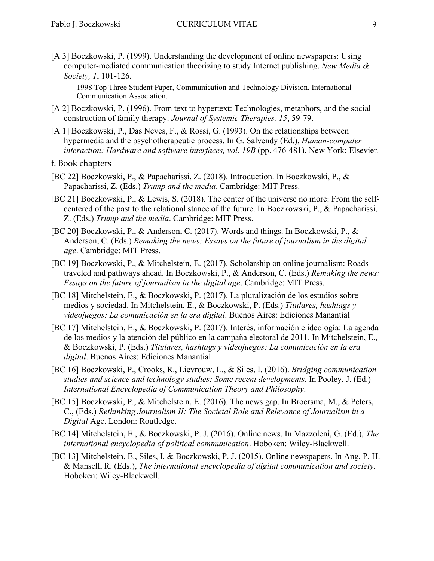[A 3] Boczkowski, P. (1999). Understanding the development of online newspapers: Using computer-mediated communication theorizing to study Internet publishing. *New Media & Society, 1*, 101-126.

1998 Top Three Student Paper, Communication and Technology Division, International Communication Association.

- [A 2] Boczkowski, P. (1996). From text to hypertext: Technologies, metaphors, and the social construction of family therapy. *Journal of Systemic Therapies, 15*, 59-79.
- [A 1] Boczkowski, P., Das Neves, F., & Rossi, G. (1993). On the relationships between hypermedia and the psychotherapeutic process. In G. Salvendy (Ed.), *Human-computer interaction: Hardware and software interfaces, vol. 19B* (pp. 476-481). New York: Elsevier.
- f. Book chapters
- [BC 22] Boczkowski, P., & Papacharissi, Z. (2018). Introduction. In Boczkowski, P., & Papacharissi, Z. (Eds.) *Trump and the media*. Cambridge: MIT Press.
- [BC 21] Boczkowski, P., & Lewis, S. (2018). The center of the universe no more: From the selfcentered of the past to the relational stance of the future. In Boczkowski, P., & Papacharissi, Z. (Eds.) *Trump and the media*. Cambridge: MIT Press.
- [BC 20] Boczkowski, P., & Anderson, C. (2017). Words and things. In Boczkowski, P., & Anderson, C. (Eds.) *Remaking the news: Essays on the future of journalism in the digital age*. Cambridge: MIT Press.
- [BC 19] Boczkowski, P., & Mitchelstein, E. (2017). Scholarship on online journalism: Roads traveled and pathways ahead. In Boczkowski, P., & Anderson, C. (Eds.) *Remaking the news: Essays on the future of journalism in the digital age*. Cambridge: MIT Press.
- [BC 18] Mitchelstein, E., & Boczkowski, P. (2017). La pluralización de los estudios sobre medios y sociedad. In Mitchelstein, E., & Boczkowski, P. (Eds.) *Titulares, hashtags y videojuegos: La comunicación en la era digital*. Buenos Aires: Ediciones Manantial
- [BC 17] Mitchelstein, E., & Boczkowski, P. (2017). Interés, información e ideología: La agenda de los medios y la atención del público en la campaña electoral de 2011. In Mitchelstein, E., & Boczkowski, P. (Eds.) *Titulares, hashtags y videojuegos: La comunicación en la era digital*. Buenos Aires: Ediciones Manantial
- [BC 16] Boczkowski, P., Crooks, R., Lievrouw, L., & Siles, I. (2016). *Bridging communication studies and science and technology studies: Some recent developments*. In Pooley, J. (Ed.) *International Encyclopedia of Communication Theory and Philosophy*.
- [BC 15] Boczkowski, P., & Mitchelstein, E. (2016). The news gap. In Broersma, M., & Peters, C., (Eds.) *Rethinking Journalism II: The Societal Role and Relevance of Journalism in a Digital* Age. London: Routledge.
- [BC 14] Mitchelstein, E., & Boczkowski, P. J. (2016). Online news. In Mazzoleni, G. (Ed.), *The international encyclopedia of political communication*. Hoboken: Wiley-Blackwell.
- [BC 13] Mitchelstein, E., Siles, I. & Boczkowski, P. J. (2015). Online newspapers. In Ang, P. H. & Mansell, R. (Eds.), *The international encyclopedia of digital communication and society*. Hoboken: Wiley-Blackwell.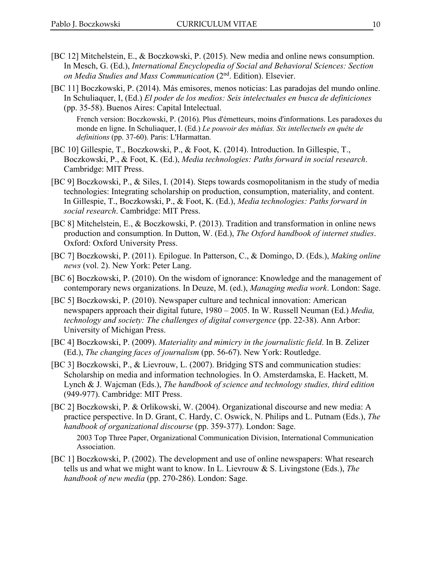- [BC 12] Mitchelstein, E., & Boczkowski, P. (2015). New media and online news consumption. In Mesch, G. (Ed.), *International Encyclopedia of Social and Behavioral Sciences: Section on Media Studies and Mass Communication* (2nd. Edition). Elsevier.
- [BC 11] Boczkowski, P. (2014). Más emisores, menos noticias: Las paradojas del mundo online. In Schuliaquer, I, (Ed.) *El poder de los medios: Seis intelectuales en busca de definiciones* (pp. 35-58). Buenos Aires: Capital Intelectual.

French version: Boczkowski, P. (2016). Plus d'émetteurs, moins d'informations. Les paradoxes du monde en ligne. In Schuliaquer, I. (Ed.) *Le pouvoir des médias. Six intellectuels en quête de definitions* (pp. 37-60). Paris: L'Harmattan.

- [BC 10] Gillespie, T., Boczkowski, P., & Foot, K. (2014). Introduction. In Gillespie, T., Boczkowski, P., & Foot, K. (Ed.), *Media technologies: Paths forward in social research*. Cambridge: MIT Press.
- [BC 9] Boczkowski, P., & Siles, I. (2014). Steps towards cosmopolitanism in the study of media technologies: Integrating scholarship on production, consumption, materiality, and content. In Gillespie, T., Boczkowski, P., & Foot, K. (Ed.), *Media technologies: Paths forward in social research*. Cambridge: MIT Press.
- [BC 8] Mitchelstein, E., & Boczkowski, P. (2013). Tradition and transformation in online news production and consumption. In Dutton, W. (Ed.), *The Oxford handbook of internet studies*. Oxford: Oxford University Press.
- [BC 7] Boczkowski, P. (2011). Epilogue. In Patterson, C., & Domingo, D. (Eds.), *Making online news* (vol. 2). New York: Peter Lang.
- [BC 6] Boczkowski, P. (2010). On the wisdom of ignorance: Knowledge and the management of contemporary news organizations. In Deuze, M. (ed.), *Managing media work*. London: Sage.
- [BC 5] Boczkowski, P. (2010). Newspaper culture and technical innovation: American newspapers approach their digital future, 1980 – 2005. In W. Russell Neuman (Ed.) *Media, technology and society: The challenges of digital convergence* (pp. 22-38). Ann Arbor: University of Michigan Press.
- [BC 4] Boczkowski, P. (2009). *Materiality and mimicry in the journalistic field*. In B. Zelizer (Ed.), *The changing faces of journalism* (pp. 56-67). New York: Routledge.
- [BC 3] Boczkowski, P., & Lievrouw, L. (2007). Bridging STS and communication studies: Scholarship on media and information technologies. In O. Amsterdamska, E. Hackett, M. Lynch & J. Wajcman (Eds.), *The handbook of science and technology studies, third edition* (949-977). Cambridge: MIT Press.
- [BC 2] Boczkowski, P. & Orlikowski, W. (2004). Organizational discourse and new media: A practice perspective. In D. Grant, C. Hardy, C. Oswick, N. Philips and L. Putnam (Eds.), *The handbook of organizational discourse* (pp. 359-377). London: Sage.

2003 Top Three Paper, Organizational Communication Division, International Communication Association.

[BC 1] Boczkowski, P. (2002). The development and use of online newspapers: What research tells us and what we might want to know. In L. Lievrouw & S. Livingstone (Eds.), *The handbook of new media* (pp. 270-286). London: Sage.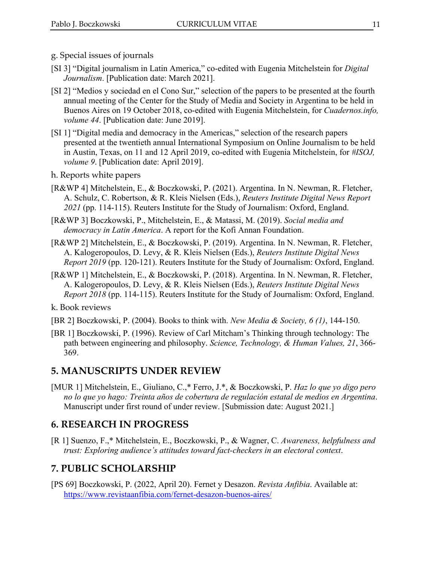- g. Special issues of journals
- [SI 3] "Digital journalism in Latin America," co-edited with Eugenia Mitchelstein for *Digital Journalism*. [Publication date: March 2021].
- [SI 2] "Medios y sociedad en el Cono Sur," selection of the papers to be presented at the fourth annual meeting of the Center for the Study of Media and Society in Argentina to be held in Buenos Aires on 19 October 2018, co-edited with Eugenia Mitchelstein, for *Cuadernos.info, volume 44*. [Publication date: June 2019].
- [SI 1] "Digital media and democracy in the Americas," selection of the research papers presented at the twentieth annual International Symposium on Online Journalism to be held in Austin, Texas, on 11 and 12 April 2019, co-edited with Eugenia Mitchelstein, for *#ISOJ, volume 9*. [Publication date: April 2019].
- h. Reports white papers
- [R&WP 4] Mitchelstein, E., & Boczkowski, P. (2021). Argentina. In N. Newman, R. Fletcher, A. Schulz, C. Robertson, & R. Kleis Nielsen (Eds.), *Reuters Institute Digital News Report 2021* (pp. 114-115). Reuters Institute for the Study of Journalism: Oxford, England.
- [R&WP 3] Boczkowski, P., Mitchelstein, E., & Matassi, M. (2019). *Social media and democracy in Latin America*. A report for the Kofi Annan Foundation.
- [R&WP 2] Mitchelstein, E., & Boczkowski, P. (2019). Argentina. In N. Newman, R. Fletcher, A. Kalogeropoulos, D. Levy, & R. Kleis Nielsen (Eds.), *Reuters Institute Digital News Report 2019* (pp. 120-121). Reuters Institute for the Study of Journalism: Oxford, England.
- [R&WP 1] Mitchelstein, E., & Boczkowski, P. (2018). Argentina. In N. Newman, R. Fletcher, A. Kalogeropoulos, D. Levy, & R. Kleis Nielsen (Eds.), *Reuters Institute Digital News Report 2018* (pp. 114-115). Reuters Institute for the Study of Journalism: Oxford, England.

k. Book reviews

- [BR 2] Boczkowski, P. (2004). Books to think with. *New Media & Society, 6 (1)*, 144-150.
- [BR 1] Boczkowski, P. (1996). Review of Carl Mitcham's Thinking through technology: The path between engineering and philosophy. *Science, Technology, & Human Values, 21*, 366- 369.

#### **5. MANUSCRIPTS UNDER REVIEW**

[MUR 1] Mitchelstein, E., Giuliano, C.,\* Ferro, J.\*, & Boczkowski, P. *Haz lo que yo digo pero no lo que yo hago: Treinta años de cobertura de regulación estatal de medios en Argentina*. Manuscript under first round of under review. [Submission date: August 2021.]

#### **6. RESEARCH IN PROGRESS**

[R 1] Suenzo, F.,\* Mitchelstein, E., Boczkowski, P., & Wagner, C. *Awareness, helpfulness and trust: Exploring audience's attitudes toward fact-checkers in an electoral context*.

## **7. PUBLIC SCHOLARSHIP**

[PS 69] Boczkowski, P. (2022, April 20). Fernet y Desazon. *Revista Anfibia*. Available at: https://www.revistaanfibia.com/fernet-desazon-buenos-aires/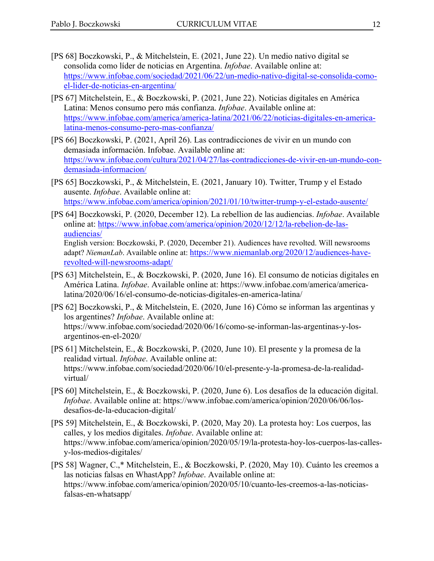- [PS 68] Boczkowski, P., & Mitchelstein, E. (2021, June 22). Un medio nativo digital se consolida como líder de noticias en Argentina. *Infobae*. Available online at: https://www.infobae.com/sociedad/2021/06/22/un-medio-nativo-digital-se-consolida-comoel-lider-de-noticias-en-argentina/
- [PS 67] Mitchelstein, E., & Boczkowski, P. (2021, June 22). Noticias digitales en América Latina: Menos consumo pero más confianza. *Infobae*. Available online at: https://www.infobae.com/america/america-latina/2021/06/22/noticias-digitales-en-americalatina-menos-consumo-pero-mas-confianza/
- [PS 66] Boczkowski, P. (2021, April 26). Las contradicciones de vivir en un mundo con demasiada información. Infobae. Available online at: https://www.infobae.com/cultura/2021/04/27/las-contradicciones-de-vivir-en-un-mundo-condemasiada-informacion/
- [PS 65] Boczkowski, P., & Mitchelstein, E. (2021, January 10). Twitter, Trump y el Estado ausente. *Infobae*. Available online at: https://www.infobae.com/america/opinion/2021/01/10/twitter-trump-y-el-estado-ausente/
- [PS 64] Boczkowski, P. (2020, December 12). La rebellion de las audiencias. *Infobae*. Available online at: https://www.infobae.com/america/opinion/2020/12/12/la-rebelion-de-lasaudiencias/ English version: Boczkowski, P. (2020, December 21). Audiences have revolted. Will newsrooms adapt? *NiemanLab*. Available online at: https://www.niemanlab.org/2020/12/audiences-have-

revolted-will-newsrooms-adapt/

- [PS 63] Mitchelstein, E., & Boczkowski, P. (2020, June 16). El consumo de noticias digitales en América Latina. *Infobae*. Available online at: https://www.infobae.com/america/americalatina/2020/06/16/el-consumo-de-noticias-digitales-en-america-latina/
- [PS 62] Boczkowski, P., & Mitchelstein, E. (2020, June 16) Cómo se informan las argentinas y los argentines? *Infobae*. Available online at: https://www.infobae.com/sociedad/2020/06/16/como-se-informan-las-argentinas-y-losargentinos-en-el-2020/
- [PS 61] Mitchelstein, E., & Boczkowski, P. (2020, June 10). El presente y la promesa de la realidad virtual. *Infobae*. Available online at: https://www.infobae.com/sociedad/2020/06/10/el-presente-y-la-promesa-de-la-realidadvirtual/
- [PS 60] Mitchelstein, E., & Boczkowski, P. (2020, June 6). Los desafíos de la educación digital. *Infobae*. Available online at: https://www.infobae.com/america/opinion/2020/06/06/losdesafios-de-la-educacion-digital/
- [PS 59] Mitchelstein, E., & Boczkowski, P. (2020, May 20). La protesta hoy: Los cuerpos, las calles, y los medios digitales. *Infobae*. Available online at: https://www.infobae.com/america/opinion/2020/05/19/la-protesta-hoy-los-cuerpos-las-callesy-los-medios-digitales/
- [PS 58] Wagner, C.,\* Mitchelstein, E., & Boczkowski, P. (2020, May 10). Cuánto les creemos a las noticias falsas en WhastApp? *Infobae*. Available online at: https://www.infobae.com/america/opinion/2020/05/10/cuanto-les-creemos-a-las-noticiasfalsas-en-whatsapp/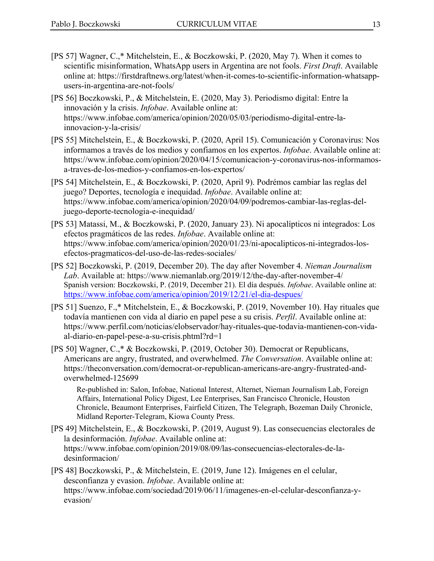- [PS 57] Wagner, C.,\* Mitchelstein, E., & Boczkowski, P. (2020, May 7). When it comes to scientific misinformation, WhatsApp users in Argentina are not fools. *First Draft*. Available online at: https://firstdraftnews.org/latest/when-it-comes-to-scientific-information-whatsappusers-in-argentina-are-not-fools/
- [PS 56] Boczkowski, P., & Mitchelstein, E. (2020, May 3). Periodismo digital: Entre la innovación y la crisis. *Infobae*. Available online at: https://www.infobae.com/america/opinion/2020/05/03/periodismo-digital-entre-lainnovacion-y-la-crisis/
- [PS 55] Mitchelstein, E., & Boczkowski, P. (2020, April 15). Comunicación y Coronavirus: Nos informamos a través de los medios y confiamos en los expertos. *Infobae*. Available online at: https://www.infobae.com/opinion/2020/04/15/comunicacion-y-coronavirus-nos-informamosa-traves-de-los-medios-y-confiamos-en-los-expertos/
- [PS 54] Mitchelstein, E., & Boczkowski, P. (2020, April 9). Podrémos cambiar las reglas del juego? Deportes, tecnología e inequidad. *Infobae*. Available online at: https://www.infobae.com/america/opinion/2020/04/09/podremos-cambiar-las-reglas-deljuego-deporte-tecnologia-e-inequidad/
- [PS 53] Matassi, M., & Boczkowski, P. (2020, January 23). Ni apocalípticos ni integrados: Los efectos pragmáticos de las redes. *Infobae*. Available online at: https://www.infobae.com/america/opinion/2020/01/23/ni-apocalipticos-ni-integrados-losefectos-pragmaticos-del-uso-de-las-redes-sociales/
- [PS 52] Boczkowski, P. (2019, December 20). The day after November 4. *Nieman Journalism Lab*. Available at: https://www.niemanlab.org/2019/12/the-day-after-november-4/ Spanish version: Boczkowski, P. (2019, December 21). El día después. *Infobae*. Available online at: https://www.infobae.com/america/opinion/2019/12/21/el-dia-despues/
- [PS 51] Suenzo, F.,\* Mitchelstein, E., & Boczkowski, P. (2019, November 10). Hay rituales que todavía mantienen con vida al diario en papel pese a su crisis. *Perfil*. Available online at: https://www.perfil.com/noticias/elobservador/hay-rituales-que-todavia-mantienen-con-vidaal-diario-en-papel-pese-a-su-crisis.phtml?rd=1
- [PS 50] Wagner, C.,\* & Boczkowski, P. (2019, October 30). Democrat or Republicans, Americans are angry, frustrated, and overwhelmed. *The Conversation*. Available online at: https://theconversation.com/democrat-or-republican-americans-are-angry-frustrated-andoverwhelmed-125699

Re-published in: Salon, Infobae, National Interest, Alternet, Nieman Journalism Lab, Foreign Affairs, International Policy Digest, Lee Enterprises, San Francisco Chronicle, Houston Chronicle, Beaumont Enterprises, Fairfield Citizen, The Telegraph, Bozeman Daily Chronicle, Midland Reporter-Telegram, Kiowa County Press.

- [PS 49] Mitchelstein, E., & Boczkowski, P. (2019, August 9). Las consecuencias electorales de la desinformación. *Infobae*. Available online at: https://www.infobae.com/opinion/2019/08/09/las-consecuencias-electorales-de-ladesinformacion/
- [PS 48] Boczkowski, P., & Mitchelstein, E. (2019, June 12). Imágenes en el celular, desconfianza y evasion. *Infobae*. Available online at: https://www.infobae.com/sociedad/2019/06/11/imagenes-en-el-celular-desconfianza-yevasion/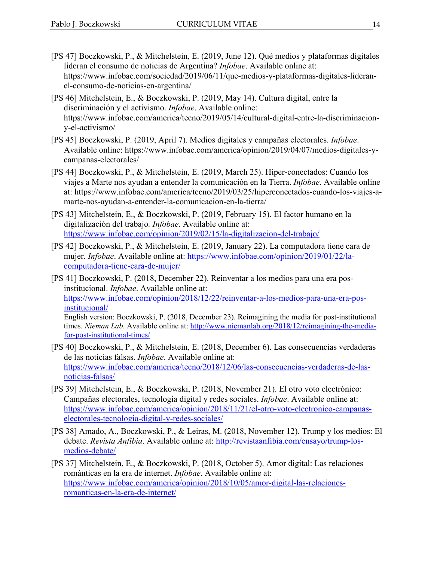- [PS 47] Boczkowski, P., & Mitchelstein, E. (2019, June 12). Qué medios y plataformas digitales lideran el consumo de noticias de Argentina? *Infobae*. Available online at: https://www.infobae.com/sociedad/2019/06/11/que-medios-y-plataformas-digitales-lideranel-consumo-de-noticias-en-argentina/
- [PS 46] Mitchelstein, E., & Boczkowski, P. (2019, May 14). Cultura digital, entre la discriminación y el activismo. *Infobae*. Available online: https://www.infobae.com/america/tecno/2019/05/14/cultural-digital-entre-la-discriminaciony-el-activismo/
- [PS 45] Boczkowski, P. (2019, April 7). Medios digitales y campañas electorales. *Infobae*. Available online: https://www.infobae.com/america/opinion/2019/04/07/medios-digitales-ycampanas-electorales/
- [PS 44] Boczkowski, P., & Mitchelstein, E. (2019, March 25). Híper-conectados: Cuando los viajes a Marte nos ayudan a entender la comunicación en la Tierra. *Infobae*. Available online at: https://www.infobae.com/america/tecno/2019/03/25/hiperconectados-cuando-los-viajes-amarte-nos-ayudan-a-entender-la-comunicacion-en-la-tierra/
- [PS 43] Mitchelstein, E., & Boczkowski, P. (2019, February 15). El factor humano en la digitalización del trabajo*. Infobae*. Available online at: https://www.infobae.com/opinion/2019/02/15/la-digitalizacion-del-trabajo/
- [PS 42] Boczkowski, P., & Mitchelstein, E. (2019, January 22). La computadora tiene cara de mujer. *Infobae*. Available online at: https://www.infobae.com/opinion/2019/01/22/lacomputadora-tiene-cara-de-mujer/
- [PS 41] Boczkowski, P. (2018, December 22). Reinventar a los medios para una era posinstitucional. *Infobae*. Available online at: https://www.infobae.com/opinion/2018/12/22/reinventar-a-los-medios-para-una-era-posinstitucional/ English version: Boczkowski, P. (2018, December 23). Reimagining the media for post-institutional times. *Nieman Lab*. Available online at: http://www.niemanlab.org/2018/12/reimagining-the-mediafor-post-institutional-times/
- [PS 40] Boczkowski, P., & Mitchelstein, E. (2018, December 6). Las consecuencias verdaderas de las noticias falsas. *Infobae*. Available online at: https://www.infobae.com/america/tecno/2018/12/06/las-consecuencias-verdaderas-de-lasnoticias-falsas/
- [PS 39] Mitchelstein, E., & Boczkowski, P. (2018, November 21). El otro voto electrónico: Campañas electorales, tecnología digital y redes sociales. *Infobae*. Available online at: https://www.infobae.com/america/opinion/2018/11/21/el-otro-voto-electronico-campanaselectorales-tecnologia-digital-y-redes-sociales/
- [PS 38] Amado, A., Boczkowski, P., & Leiras, M. (2018, November 12). Trump y los medios: El debate. *Revista Anfibia*. Available online at: http://revistaanfibia.com/ensayo/trump-losmedios-debate/
- [PS 37] Mitchelstein, E., & Boczkowski, P. (2018, October 5). Amor digital: Las relaciones románticas en la era de internet. *Infobae*. Available online at: https://www.infobae.com/america/opinion/2018/10/05/amor-digital-las-relacionesromanticas-en-la-era-de-internet/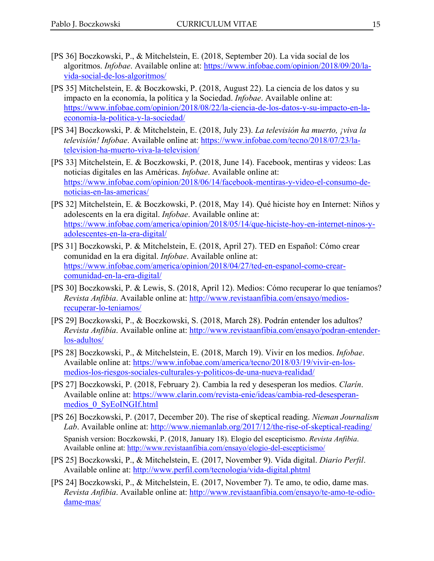- [PS 36] Boczkowski, P., & Mitchelstein, E. (2018, September 20). La vida social de los algoritmos. *Infobae*. Available online at: https://www.infobae.com/opinion/2018/09/20/lavida-social-de-los-algoritmos/
- [PS 35] Mitchelstein, E. & Boczkowski, P. (2018, August 22). La ciencia de los datos y su impacto en la economía, la política y la Sociedad. *Infobae*. Available online at: https://www.infobae.com/opinion/2018/08/22/la-ciencia-de-los-datos-y-su-impacto-en-laeconomia-la-politica-y-la-sociedad/
- [PS 34] Boczkowski, P. & Mitchelstein, E. (2018, July 23). *La televisión ha muerto, ¡viva la televisión! Infobae*. Available online at: https://www.infobae.com/tecno/2018/07/23/latelevision-ha-muerto-viva-la-television/
- [PS 33] Mitchelstein, E. & Boczkowski, P. (2018, June 14). Facebook, mentiras y videos: Las noticias digitales en las Américas. *Infobae*. Available online at: https://www.infobae.com/opinion/2018/06/14/facebook-mentiras-y-video-el-consumo-denoticias-en-las-americas/
- [PS 32] Mitchelstein, E. & Boczkowski, P. (2018, May 14). Qué hiciste hoy en Internet: Niños y adolescents en la era digital. *Infobae*. Available online at: https://www.infobae.com/america/opinion/2018/05/14/que-hiciste-hoy-en-internet-ninos-yadolescentes-en-la-era-digital/
- [PS 31] Boczkowski, P. & Mitchelstein, E. (2018, April 27). TED en Español: Cómo crear comunidad en la era digital. *Infobae*. Available online at: https://www.infobae.com/america/opinion/2018/04/27/ted-en-espanol-como-crearcomunidad-en-la-era-digital/
- [PS 30] Boczkowski, P. & Lewis, S. (2018, April 12). Medios: Cómo recuperar lo que teníamos? *Revista Anfibia*. Available online at: http://www.revistaanfibia.com/ensayo/mediosrecuperar-lo-teniamos/
- [PS 29] Boczkowski, P., & Boczkowski, S. (2018, March 28). Podrán entender los adultos? *Revista Anfibia*. Available online at: http://www.revistaanfibia.com/ensayo/podran-entenderlos-adultos/
- [PS 28] Boczkowski, P., & Mitchelstein, E. (2018, March 19). Vivir en los medios. *Infobae*. Available online at: https://www.infobae.com/america/tecno/2018/03/19/vivir-en-losmedios-los-riesgos-sociales-culturales-y-politicos-de-una-nueva-realidad/
- [PS 27] Boczkowski, P. (2018, February 2). Cambia la red y desesperan los medios. *Clarín*. Available online at: https://www.clarin.com/revista-enie/ideas/cambia-red-desesperanmedios\_0\_SyEoINGIf.html
- [PS 26] Boczkowski, P. (2017, December 20). The rise of skeptical reading. *Nieman Journalism Lab*. Available online at: http://www.niemanlab.org/2017/12/the-rise-of-skeptical-reading/ Spanish version: Boczkowski, P. (2018, January 18). Elogio del escepticismo. *Revista Anfibia*. Available online at: http://www.revistaanfibia.com/ensayo/elogio-del-escepticismo/
- [PS 25] Boczkowski, P., & Mitchelstein, E. (2017, November 9). Vida digital. *Diario Perfil*. Available online at: http://www.perfil.com/tecnologia/vida-digital.phtml
- [PS 24] Boczkowski, P., & Mitchelstein, E. (2017, November 7). Te amo, te odio, dame mas. *Revista Anfibia*. Available online at: http://www.revistaanfibia.com/ensayo/te-amo-te-odiodame-mas/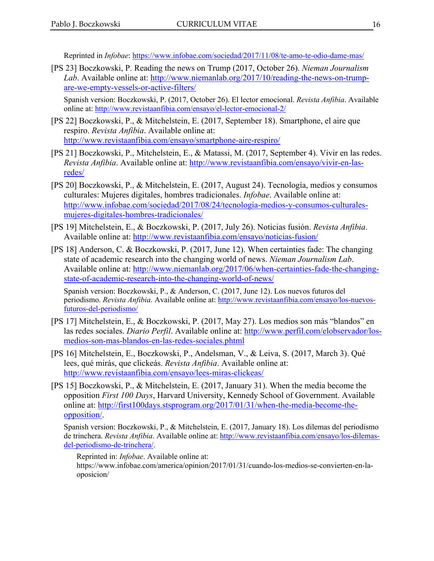Reprinted in *Infobae*: https://www.infobae.com/sociedad/2017/11/08/te-amo-te-odio-dame-mas/

[PS 23] Boczkowski, P. Reading the news on Trump (2017, October 26). *Nieman Journalism Lab*. Available online at: http://www.niemanlab.org/2017/10/reading-the-news-on-trumpare-we-empty-vessels-or-active-filters/

Spanish version: Boczkowski, P. (2017, October 26). El lector emocional. *Revista Anfibia*. Available online at: http://www.revistaanfibia.com/ensayo/el-lector-emocional-2/

- [PS 22] Boczkowski, P., & Mitchelstein, E. (2017, September 18). Smartphone, el aire que respiro. *Revista Anfibia*. Available online at: http://www.revistaanfibia.com/ensayo/smartphone-aire-respiro/
- [PS 21] Boczkowski, P., Mitchelstein, E., & Matassi, M. (2017, September 4). Vivir en las redes. *Revista Anfibia*. Available online at: http://www.revistaanfibia.com/ensayo/vivir-en-lasredes/
- [PS 20] Boczkowski, P., & Mitchelstein, E. (2017, August 24). Tecnología, medios y consumos culturales: Mujeres digitales, hombres tradicionales. *Infobae*. Available online at: http://www.infobae.com/sociedad/2017/08/24/tecnologia-medios-y-consumos-culturalesmujeres-digitales-hombres-tradicionales/
- [PS 19] Mitchelstein, E., & Boczkowski, P. (2017, July 26). Noticias fusión. *Revista Anfibia*. Available online at: http://www.revistaanfibia.com/ensayo/noticias-fusion/
- [PS 18] Anderson, C. & Boczkowski, P. (2017, June 12). When certainties fade: The changing state of academic research into the changing world of news. *Nieman Journalism Lab*. Available online at: http://www.niemanlab.org/2017/06/when-certainties-fade-the-changingstate-of-academic-research-into-the-changing-world-of-news/

Spanish version: Boczkowski, P., & Anderson, C. (2017, June 12). Los nuevos futuros del periodismo. *Revista Anfibia*. Available online at: http://www.revistaanfibia.com/ensayo/los-nuevosfuturos-del-periodismo/

- [PS 17] Mitchelstein, E., & Boczkowski, P. (2017, May 27). Los medios son más "blandos" en las redes sociales. *Diario Perfil*. Available online at: http://www.perfil.com/elobservador/losmedios-son-mas-blandos-en-las-redes-sociales.phtml
- [PS 16] Mitchelstein, E., Boczkowski, P., Andelsman, V., & Leiva, S. (2017, March 3). Qué lees, qué mirás, que clickeás. *Revista Anfibia*. Available online at: http://www.revistaanfibia.com/ensayo/lees-miras-clickeas/
- [PS 15] Boczkowski, P., & Mitchelstein, E. (2017, January 31). When the media become the opposition *First 100 Days*, Harvard University, Kennedy School of Government. Available online at: http://first100days.stsprogram.org/2017/01/31/when-the-media-become-theopposition/.

Spanish version: Boczkowski, P., & Mitchelstein, E. (2017, January 18). Los dilemas del periodismo de trinchera. *Revista Anfibia*. Available online at: http://www.revistaanfibia.com/ensayo/los-dilemasdel-periodismo-de-trinchera/.

Reprinted in: *Infobae*. Available online at:

https://www.infobae.com/america/opinion/2017/01/31/cuando-los-medios-se-convierten-en-laoposicion/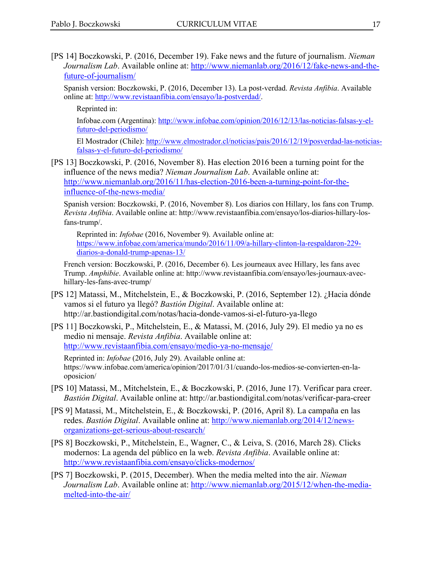[PS 14] Boczkowski, P. (2016, December 19). Fake news and the future of journalism. *Nieman Journalism Lab*. Available online at: http://www.niemanlab.org/2016/12/fake-news-and-thefuture-of-journalism/

Spanish version: Boczkowski, P. (2016, December 13). La post-verdad. *Revista Anfibia*. Available online at: http://www.revistaanfibia.com/ensayo/la-postverdad/.

Reprinted in:

Infobae.com (Argentina): http://www.infobae.com/opinion/2016/12/13/las-noticias-falsas-y-elfuturo-del-periodismo/

El Mostrador (Chile): http://www.elmostrador.cl/noticias/pais/2016/12/19/posverdad-las-noticiasfalsas-y-el-futuro-del-periodismo/

[PS 13] Boczkowski, P. (2016, November 8). Has election 2016 been a turning point for the influence of the news media? *Nieman Journalism Lab*. Available online at: http://www.niemanlab.org/2016/11/has-election-2016-been-a-turning-point-for-theinfluence-of-the-news-media/

Spanish version: Boczkowski, P. (2016, November 8). Los diarios con Hillary, los fans con Trump. *Revista Anfibia*. Available online at: http://www.revistaanfibia.com/ensayo/los-diarios-hillary-losfans-trump/.

Reprinted in: *Infobae* (2016, November 9). Available online at: https://www.infobae.com/america/mundo/2016/11/09/a-hillary-clinton-la-respaldaron-229 diarios-a-donald-trump-apenas-13/

French version: Boczkowski, P. (2016, December 6). Les journeaux avec Hillary, les fans avec Trump. *Amphibie*. Available online at: http://www.revistaanfibia.com/ensayo/les-journaux-avechillary-les-fans-avec-trump/

- [PS 12] Matassi, M., Mitchelstein, E., & Boczkowski, P. (2016, September 12). ¿Hacia dónde vamos si el futuro ya llegó? *Bastión Digital*. Available online at: http://ar.bastiondigital.com/notas/hacia-donde-vamos-si-el-futuro-ya-llego
- [PS 11] Boczkowski, P., Mitchelstein, E., & Matassi, M. (2016, July 29). El medio ya no es medio ni mensaje. *Revista Anfibia*. Available online at: http://www.revistaanfibia.com/ensayo/medio-ya-no-mensaje/

Reprinted in: *Infobae* (2016, July 29). Available online at: https://www.infobae.com/america/opinion/2017/01/31/cuando-los-medios-se-convierten-en-laoposicion/

- [PS 10] Matassi, M., Mitchelstein, E., & Boczkowski, P. (2016, June 17). Verificar para creer. *Bastión Digital*. Available online at: http://ar.bastiondigital.com/notas/verificar-para-creer
- [PS 9] Matassi, M., Mitchelstein, E., & Boczkowski, P. (2016, April 8). La campaña en las redes. *Bastión Digital*. Available online at: http://www.niemanlab.org/2014/12/newsorganizations-get-serious-about-research/
- [PS 8] Boczkowski, P., Mitchelstein, E., Wagner, C., & Leiva, S. (2016, March 28). Clicks modernos: La agenda del público en la web. *Revista Anfibia*. Available online at: http://www.revistaanfibia.com/ensayo/clicks-modernos/
- [PS 7] Boczkowski, P. (2015, December). When the media melted into the air. *Nieman Journalism Lab*. Available online at: http://www.niemanlab.org/2015/12/when-the-mediamelted-into-the-air/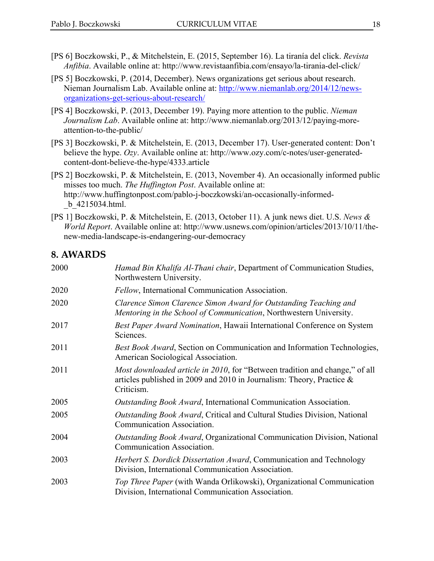- [PS 6] Boczkowski, P., & Mitchelstein, E. (2015, September 16). La tiranía del click. *Revista Anfibia*. Available online at: http://www.revistaanfibia.com/ensayo/la-tirania-del-click/
- [PS 5] Boczkowski, P. (2014, December). News organizations get serious about research. Nieman Journalism Lab. Available online at: http://www.niemanlab.org/2014/12/newsorganizations-get-serious-about-research/
- [PS 4] Boczkowski, P. (2013, December 19). Paying more attention to the public. *Nieman Journalism Lab*. Available online at: http://www.niemanlab.org/2013/12/paying-moreattention-to-the-public/
- [PS 3] Boczkowski, P. & Mitchelstein, E. (2013, December 17). User-generated content: Don't believe the hype. *Ozy*. Available online at: http://www.ozy.com/c-notes/user-generatedcontent-dont-believe-the-hype/4333.article
- [PS 2] Boczkowski, P. & Mitchelstein, E. (2013, November 4). An occasionally informed public misses too much. *The Huffington Post*. Available online at: http://www.huffingtonpost.com/pablo-j-boczkowski/an-occasionally-informed- \_b\_4215034.html.
- [PS 1] Boczkowski, P. & Mitchelstein, E. (2013, October 11). A junk news diet. U.S. *News & World Report*. Available online at: http://www.usnews.com/opinion/articles/2013/10/11/thenew-media-landscape-is-endangering-our-democracy

### **8. AWARDS**

| 2000 | Hamad Bin Khalifa Al-Thani chair, Department of Communication Studies,<br>Northwestern University.                                                                            |
|------|-------------------------------------------------------------------------------------------------------------------------------------------------------------------------------|
| 2020 | Fellow, International Communication Association.                                                                                                                              |
| 2020 | Clarence Simon Clarence Simon Award for Outstanding Teaching and<br>Mentoring in the School of Communication, Northwestern University.                                        |
| 2017 | Best Paper Award Nomination, Hawaii International Conference on System<br>Sciences.                                                                                           |
| 2011 | Best Book Award, Section on Communication and Information Technologies,<br>American Sociological Association.                                                                 |
| 2011 | <i>Most downloaded article in 2010</i> , for "Between tradition and change," of all<br>articles published in 2009 and 2010 in Journalism: Theory, Practice $\&$<br>Criticism. |
| 2005 | Outstanding Book Award, International Communication Association.                                                                                                              |
| 2005 | <i>Outstanding Book Award</i> , Critical and Cultural Studies Division, National<br>Communication Association.                                                                |
| 2004 | Outstanding Book Award, Organizational Communication Division, National<br>Communication Association.                                                                         |
| 2003 | Herbert S. Dordick Dissertation Award, Communication and Technology<br>Division, International Communication Association.                                                     |
| 2003 | Top Three Paper (with Wanda Orlikowski), Organizational Communication<br>Division, International Communication Association.                                                   |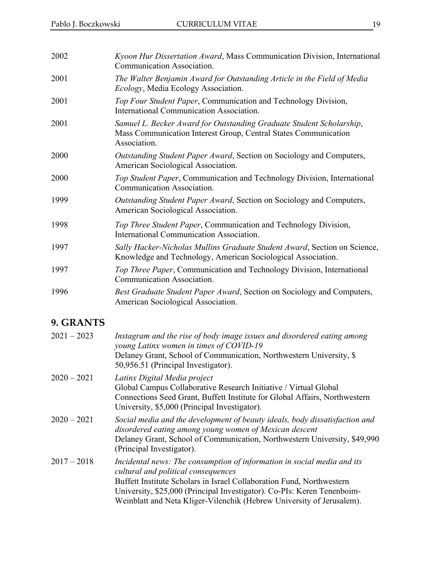| 2002 | Kyoon Hur Dissertation Award, Mass Communication Division, International<br>Communication Association.                                                  |
|------|---------------------------------------------------------------------------------------------------------------------------------------------------------|
| 2001 | The Walter Benjamin Award for Outstanding Article in the Field of Media<br><i>Ecology</i> , Media Ecology Association.                                  |
| 2001 | Top Four Student Paper, Communication and Technology Division,<br>International Communication Association.                                              |
| 2001 | Samuel L. Becker Award for Outstanding Graduate Student Scholarship,<br>Mass Communication Interest Group, Central States Communication<br>Association. |
| 2000 | Outstanding Student Paper Award, Section on Sociology and Computers,<br>American Sociological Association.                                              |
| 2000 | Top Student Paper, Communication and Technology Division, International<br>Communication Association.                                                   |
| 1999 | Outstanding Student Paper Award, Section on Sociology and Computers,<br>American Sociological Association.                                              |
| 1998 | Top Three Student Paper, Communication and Technology Division,<br>International Communication Association.                                             |
| 1997 | Sally Hacker-Nicholas Mullins Graduate Student Award, Section on Science,<br>Knowledge and Technology, American Sociological Association.               |
| 1997 | Top Three Paper, Communication and Technology Division, International<br>Communication Association.                                                     |
| 1996 | Best Graduate Student Paper Award, Section on Sociology and Computers,<br>American Sociological Association.                                            |

## **9. GRANTS**

| $2021 - 2023$ | Instagram and the rise of body image issues and disordered eating among<br>young Latinx women in times of COVID-19<br>Delaney Grant, School of Communication, Northwestern University, \$<br>50,956.51 (Principal Investigator).                                                                                                            |
|---------------|---------------------------------------------------------------------------------------------------------------------------------------------------------------------------------------------------------------------------------------------------------------------------------------------------------------------------------------------|
| $2020 - 2021$ | Latinx Digital Media project<br>Global Campus Collaborative Research Initiative / Virtual Global<br>Connections Seed Grant, Buffett Institute for Global Affairs, Northwestern<br>University, \$5,000 (Principal Investigator).                                                                                                             |
| $2020 - 2021$ | Social media and the development of beauty ideals, body dissatisfaction and<br>disordered eating among young women of Mexican descent<br>Delaney Grant, School of Communication, Northwestern University, \$49,990<br>(Principal Investigator).                                                                                             |
| $2017 - 2018$ | Incidental news: The consumption of information in social media and its<br>cultural and political consequences<br>Buffett Institute Scholars in Israel Collaboration Fund, Northwestern<br>University, \$25,000 (Principal Investigator). Co-PIs: Keren Tenenboim-<br>Weinblatt and Neta Kliger-Vilenchik (Hebrew University of Jerusalem). |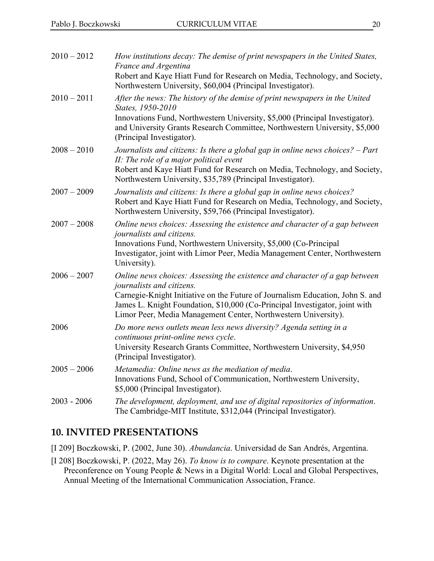| $2010 - 2012$ | How institutions decay: The demise of print newspapers in the United States,<br>France and Argentina<br>Robert and Kaye Hiatt Fund for Research on Media, Technology, and Society,                                                                                                                                                         |
|---------------|--------------------------------------------------------------------------------------------------------------------------------------------------------------------------------------------------------------------------------------------------------------------------------------------------------------------------------------------|
| $2010 - 2011$ | Northwestern University, \$60,004 (Principal Investigator).<br>After the news: The history of the demise of print newspapers in the United<br>States, 1950-2010<br>Innovations Fund, Northwestern University, \$5,000 (Principal Investigator).<br>and University Grants Research Committee, Northwestern University, \$5,000              |
| $2008 - 2010$ | (Principal Investigator).<br>Journalists and citizens: Is there a global gap in online news choices? – Part<br>II: The role of a major political event<br>Robert and Kaye Hiatt Fund for Research on Media, Technology, and Society,<br>Northwestern University, \$35,789 (Principal Investigator).                                        |
| $2007 - 2009$ | Journalists and citizens: Is there a global gap in online news choices?<br>Robert and Kaye Hiatt Fund for Research on Media, Technology, and Society,<br>Northwestern University, \$59,766 (Principal Investigator).                                                                                                                       |
| $2007 - 2008$ | Online news choices: Assessing the existence and character of a gap between<br><i>journalists and citizens.</i><br>Innovations Fund, Northwestern University, \$5,000 (Co-Principal<br>Investigator, joint with Limor Peer, Media Management Center, Northwestern<br>University).                                                          |
| $2006 - 2007$ | Online news choices: Assessing the existence and character of a gap between<br>journalists and citizens.<br>Carnegie-Knight Initiative on the Future of Journalism Education, John S. and<br>James L. Knight Foundation, \$10,000 (Co-Principal Investigator, joint with<br>Limor Peer, Media Management Center, Northwestern University). |
| 2006          | Do more news outlets mean less news diversity? Agenda setting in a<br>continuous print-online news cycle.<br>University Research Grants Committee, Northwestern University, \$4,950<br>(Principal Investigator).                                                                                                                           |
| $2005 - 2006$ | Metamedia: Online news as the mediation of media.<br>Innovations Fund, School of Communication, Northwestern University,<br>\$5,000 (Principal Investigator).                                                                                                                                                                              |
| $2003 - 2006$ | The development, deployment, and use of digital repositories of information.<br>The Cambridge-MIT Institute, \$312,044 (Principal Investigator).                                                                                                                                                                                           |

#### **10. INVITED PRESENTATIONS**

[I 209] Boczkowski, P. (2002, June 30). *Abundancia*. Universidad de San Andrés, Argentina.

[I 208] Boczkowski, P. (2022, May 26). *To know is to compare*. Keynote presentation at the Preconference on Young People & News in a Digital World: Local and Global Perspectives, Annual Meeting of the International Communication Association, France.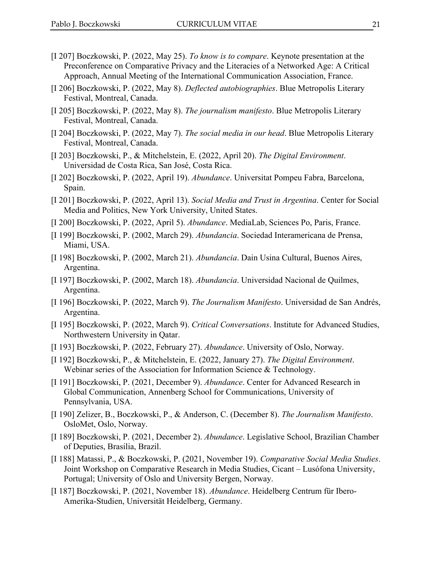- [I 207] Boczkowski, P. (2022, May 25). *To know is to compare*. Keynote presentation at the Preconference on Comparative Privacy and the Literacies of a Networked Age: A Critical Approach, Annual Meeting of the International Communication Association, France.
- [I 206] Boczkowski, P. (2022, May 8). *Deflected autobiographies*. Blue Metropolis Literary Festival, Montreal, Canada.
- [I 205] Boczkowski, P. (2022, May 8). *The journalism manifesto*. Blue Metropolis Literary Festival, Montreal, Canada.
- [I 204] Boczkowski, P. (2022, May 7). *The social media in our head*. Blue Metropolis Literary Festival, Montreal, Canada.
- [I 203] Boczkowski, P., & Mitchelstein, E. (2022, April 20). *The Digital Environment*. Universidad de Costa Rica, San José, Costa Rica.
- [I 202] Boczkowski, P. (2022, April 19). *Abundance*. Universitat Pompeu Fabra, Barcelona, Spain.
- [I 201] Boczkowski, P. (2022, April 13). *Social Media and Trust in Argentina*. Center for Social Media and Politics, New York University, United States.
- [I 200] Boczkowski, P. (2022, April 5). *Abundance*. MediaLab, Sciences Po, Paris, France.
- [I 199] Boczkowski, P. (2002, March 29). *Abundancia*. Sociedad Interamericana de Prensa, Miami, USA.
- [I 198] Boczkowski, P. (2002, March 21). *Abundancia*. Dain Usina Cultural, Buenos Aires, Argentina.
- [I 197] Boczkowski, P. (2002, March 18). *Abundancia*. Universidad Nacional de Quilmes, Argentina.
- [I 196] Boczkowski, P. (2022, March 9). *The Journalism Manifesto*. Universidad de San Andrés, Argentina.
- [I 195] Boczkowski, P. (2022, March 9). *Critical Conversations*. Institute for Advanced Studies, Northwestern University in Qatar.
- [I 193] Boczkowski, P. (2022, February 27). *Abundance*. University of Oslo, Norway.
- [I 192] Boczkowski, P., & Mitchelstein, E. (2022, January 27). *The Digital Environment*. Webinar series of the Association for Information Science & Technology.
- [I 191] Boczkowski, P. (2021, December 9). *Abundance*. Center for Advanced Research in Global Communication, Annenberg School for Communications, University of Pennsylvania, USA.
- [I 190] Zelizer, B., Boczkowski, P., & Anderson, C. (December 8). *The Journalism Manifesto*. OsloMet, Oslo, Norway.
- [I 189] Boczkowski, P. (2021, December 2). *Abundance*. Legislative School, Brazilian Chamber of Deputies, Brasilia, Brazil.
- [I 188] Matassi, P., & Boczkowski, P. (2021, November 19). *Comparative Social Media Studies*. Joint Workshop on Comparative Research in Media Studies, Cicant – Lusófona University, Portugal; University of Oslo and University Bergen, Norway.
- [I 187] Boczkowski, P. (2021, November 18). *Abundance*. Heidelberg Centrum für Ibero-Amerika-Studien, Universität Heidelberg, Germany.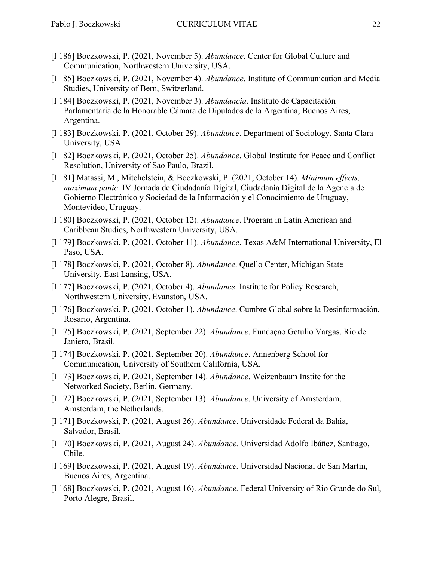- [I 186] Boczkowski, P. (2021, November 5). *Abundance*. Center for Global Culture and Communication, Northwestern University, USA.
- [I 185] Boczkowski, P. (2021, November 4). *Abundance*. Institute of Communication and Media Studies, University of Bern, Switzerland.
- [I 184] Boczkowski, P. (2021, November 3). *Abundancia*. Instituto de Capacitación Parlamentaria de la Honorable Cámara de Diputados de la Argentina, Buenos Aires, Argentina.
- [I 183] Boczkowski, P. (2021, October 29). *Abundance*. Department of Sociology, Santa Clara University, USA.
- [I 182] Boczkowski, P. (2021, October 25). *Abundance*. Global Institute for Peace and Conflict Resolution, University of Sao Paulo, Brazil.
- [I 181] Matassi, M., Mitchelstein, & Boczkowski, P. (2021, October 14). *Minimum effects, maximum panic*. IV Jornada de Ciudadanía Digital, Ciudadanía Digital de la Agencia de Gobierno Electrónico y Sociedad de la Información y el Conocimiento de Uruguay, Montevideo, Uruguay.
- [I 180] Boczkowski, P. (2021, October 12). *Abundance*. Program in Latin American and Caribbean Studies, Northwestern University, USA.
- [I 179] Boczkowski, P. (2021, October 11). *Abundance*. Texas A&M International University, El Paso, USA.
- [I 178] Boczkowski, P. (2021, October 8). *Abundance*. Quello Center, Michigan State University, East Lansing, USA.
- [I 177] Boczkowski, P. (2021, October 4). *Abundance*. Institute for Policy Research, Northwestern University, Evanston, USA.
- [I 176] Boczkowski, P. (2021, October 1). *Abundance*. Cumbre Global sobre la Desinformación, Rosario, Argentina.
- [I 175] Boczkowski, P. (2021, September 22). *Abundance*. Fundaçao Getulio Vargas, Rio de Janiero, Brasil.
- [I 174] Boczkowski, P. (2021, September 20). *Abundance*. Annenberg School for Communication, University of Southern California, USA.
- [I 173] Boczkowski, P. (2021, September 14). *Abundance*. Weizenbaum Instite for the Networked Society, Berlin, Germany.
- [I 172] Boczkowski, P. (2021, September 13). *Abundance*. University of Amsterdam, Amsterdam, the Netherlands.
- [I 171] Boczkowski, P. (2021, August 26). *Abundance*. Universidade Federal da Bahia, Salvador, Brasil.
- [I 170] Boczkowski, P. (2021, August 24). *Abundance.* Universidad Adolfo Ibáñez, Santiago, Chile.
- [I 169] Boczkowski, P. (2021, August 19). *Abundance.* Universidad Nacional de San Martín, Buenos Aires, Argentina.
- [I 168] Boczkowski, P. (2021, August 16). *Abundance.* Federal University of Rio Grande do Sul, Porto Alegre, Brasil.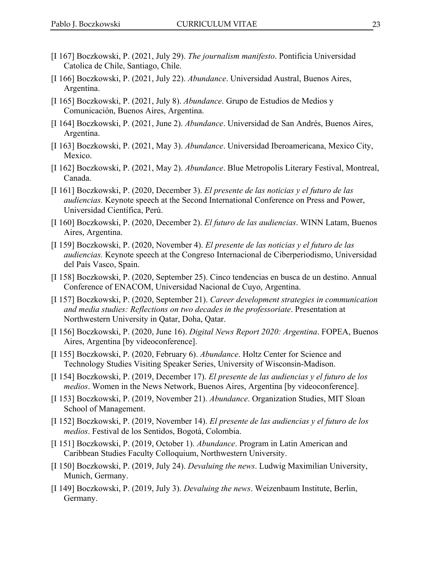- [I 167] Boczkowski, P. (2021, July 29). *The journalism manifesto*. Pontificia Universidad Catolica de Chile, Santiago, Chile.
- [I 166] Boczkowski, P. (2021, July 22). *Abundance*. Universidad Austral, Buenos Aires, Argentina.
- [I 165] Boczkowski, P. (2021, July 8). *Abundance*. Grupo de Estudios de Medios y Comunicación, Buenos Aires, Argentina.
- [I 164] Boczkowski, P. (2021, June 2). *Abundance*. Universidad de San Andrés, Buenos Aires, Argentina.
- [I 163] Boczkowski, P. (2021, May 3). *Abundance*. Universidad Iberoamericana, Mexico City, Mexico.
- [I 162] Boczkowski, P. (2021, May 2). *Abundance*. Blue Metropolis Literary Festival, Montreal, Canada.
- [I 161] Boczkowski, P. (2020, December 3). *El presente de las noticias y el futuro de las audiencias.* Keynote speech at the Second International Conference on Press and Power, Universidad Científica, Perú.
- [I 160] Boczkowski, P. (2020, December 2). *El futuro de las audiencias*. WINN Latam, Buenos Aires, Argentina.
- [I 159] Boczkowski, P. (2020, November 4). *El presente de las noticias y el futuro de las audiencias.* Keynote speech at the Congreso Internacional de Ciberperiodismo, Universidad del País Vasco, Spain.
- [I 158] Boczkowski, P. (2020, September 25). Cinco tendencias en busca de un destino. Annual Conference of ENACOM, Universidad Nacional de Cuyo, Argentina.
- [I 157] Boczkowski, P. (2020, September 21). *Career development strategies in communication and media studies: Reflections on two decades in the professoriate*. Presentation at Northwestern University in Qatar, Doha, Qatar.
- [I 156] Boczkowski, P. (2020, June 16). *Digital News Report 2020: Argentina*. FOPEA, Buenos Aires, Argentina [by videoconference].
- [I 155] Boczkowski, P. (2020, February 6). *Abundance*. Holtz Center for Science and Technology Studies Visiting Speaker Series, University of Wisconsin-Madison.
- [I 154] Boczkowski, P. (2019, December 17). *El presente de las audiencias y el futuro de los medios*. Women in the News Network, Buenos Aires, Argentina [by videoconference].
- [I 153] Boczkowski, P. (2019, November 21). *Abundance*. Organization Studies, MIT Sloan School of Management.
- [I 152] Boczkowski, P. (2019, November 14). *El presente de las audiencias y el futuro de los medios*. Festival de los Sentidos, Bogotá, Colombia.
- [I 151] Boczkowski, P. (2019, October 1). *Abundance*. Program in Latin American and Caribbean Studies Faculty Colloquium, Northwestern University.
- [I 150] Boczkowski, P. (2019, July 24). *Devaluing the news*. Ludwig Maximilian University, Munich, Germany.
- [I 149] Boczkowski, P. (2019, July 3). *Devaluing the news*. Weizenbaum Institute, Berlin, Germany.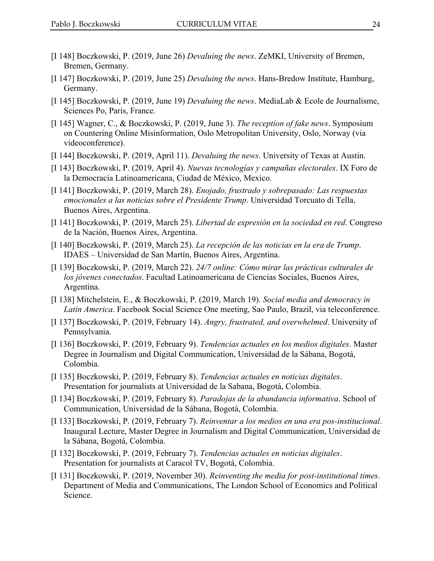- [I 148] Boczkowski, P. (2019, June 26) *Devaluing the news*. ZeMKI, University of Bremen, Bremen, Germany.
- [I 147] Boczkowski, P. (2019, June 25) *Devaluing the news*. Hans-Bredow Institute, Hamburg, Germany.
- [I 145] Boczkowski, P. (2019, June 19) *Devaluing the news*. MediaLab & Ecole de Journalisme, Sciences Po, Paris, France.
- [I 145] Wagner, C., & Boczkowski, P. (2019, June 3). *The reception of fake news*. Symposium on Countering Online Misinformation, Oslo Metropolitan University, Oslo, Norway (via videoconference).
- [I 144] Boczkowski, P. (2019, April 11). *Devaluing the news*. University of Texas at Austin.
- [I 143] Boczkowski, P. (2019, April 4). *Nuevas tecnologías y campañas electorales*. IX Foro de la Democracia Latinoamericana, Ciudad de México, Mexico.
- [I 141] Boczkowski, P. (2019, March 28). *Enojado, frustrado y sobrepasado: Las respuestas emocionales a las noticias sobre el Presidente Trump*. Universidad Torcuato di Tella, Buenos Aires, Argentina.
- [I 141] Boczkowski, P. (2019, March 25). *Libertad de expresión en la sociedad en red*. Congreso de la Nación, Buenos Aires, Argentina.
- [I 140] Boczkowski, P. (2019, March 25). *La recepción de las noticias en la era de Trump*. IDAES – Universidad de San Martín, Buenos Aires, Argentina.
- [I 139] Boczkowski, P. (2019, March 22). *24/7 online: Cómo mirar las prácticas culturales de los jóvenes conectados*. Facultad Latinoamericana de Ciencias Sociales, Buenos Aires, Argentina.
- [I 138] Mitchelstein, E., & Boczkowski, P. (2019, March 19). *Social media and democracy in Latin America*. Facebook Social Science One meeting, Sao Paulo, Brazil, via teleconference.
- [I 137] Boczkowski, P. (2019, February 14). *Angry, frustrated, and overwhelmed*. University of Pennsylvania.
- [I 136] Boczkowski, P. (2019, February 9). *Tendencias actuales en los medios digitales*. Master Degree in Journalism and Digital Communication, Universidad de la Sábana, Bogotá, Colombia.
- [I 135] Boczkowski, P. (2019, February 8). *Tendencias actuales en noticias digitales*. Presentation for journalists at Universidad de la Sabana, Bogotá, Colombia.
- [I 134] Boczkowski, P. (2019, February 8). *Paradojas de la abundancia informativa*. School of Communication, Universidad de la Sábana, Bogotá, Colombia.
- [I 133] Boczkowski, P. (2019, February 7). *Reinventar a los medios en una era pos-institucional*. Inaugural Lecture, Master Degree in Journalism and Digital Communication, Universidad de la Sábana, Bogotá, Colombia.
- [I 132] Boczkowski, P. (2019, February 7). *Tendencias actuales en noticias digitales*. Presentation for journalists at Caracol TV, Bogotá, Colombia.
- [I 131] Boczkowski, P. (2019, November 30). *Reinventing the media for post-institutional times*. Department of Media and Communications, The London School of Economics and Political Science.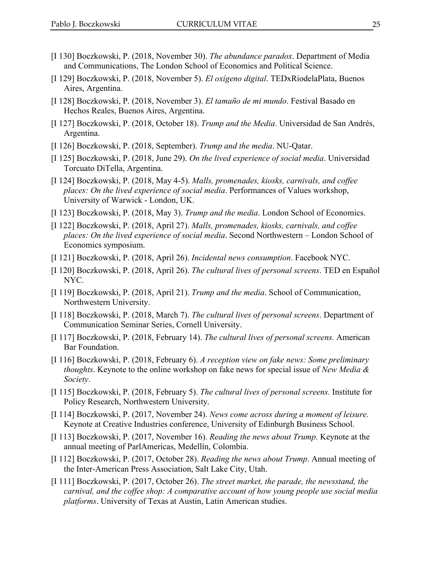- [I 130] Boczkowski, P. (2018, November 30). *The abundance paradox*. Department of Media and Communications, The London School of Economics and Political Science.
- [I 129] Boczkowski, P. (2018, November 5). *El oxígeno digital*. TEDxRiodelaPlata, Buenos Aires, Argentina.
- [I 128] Boczkowski, P. (2018, November 3). *El tamaño de mi mundo*. Festival Basado en Hechos Reales, Buenos Aires, Argentina.
- [I 127] Boczkowski, P. (2018, October 18). *Trump and the Media*. Universidad de San Andrés, Argentina.
- [I 126] Boczkowski, P. (2018, September). *Trump and the media*. NU-Qatar.
- [I 125] Boczkowski, P. (2018, June 29). *On the lived experience of social media*. Universidad Torcuato DiTella, Argentina.
- [I 124] Boczkowski, P. (2018, May 4-5). *Malls, promenades, kiosks, carnivals, and coffee places: On the lived experience of social media*. Performances of Values workshop, University of Warwick - London, UK.
- [I 123] Boczkowski, P. (2018, May 3). *Trump and the media*. London School of Economics.
- [I 122] Boczkowski, P. (2018, April 27). *Malls, promenades, kiosks, carnivals, and coffee places: On the lived experience of social media*. Second Northwestern – London School of Economics symposium.
- [I 121] Boczkowski, P. (2018, April 26). *Incidental news consumption*. Facebook NYC.
- [I 120] Boczkowski, P. (2018, April 26). *The cultural lives of personal screens*. TED en Español NYC.
- [I 119] Boczkowski, P. (2018, April 21). *Trump and the media*. School of Communication, Northwestern University.
- [I 118] Boczkowski, P. (2018, March 7). *The cultural lives of personal screens*. Department of Communication Seminar Series, Cornell University.
- [I 117] Boczkowski, P. (2018, February 14). *The cultural lives of personal screens.* American Bar Foundation.
- [I 116] Boczkowski, P. (2018, February 6). *A reception view on fake news: Some preliminary thoughts*. Keynote to the online workshop on fake news for special issue of *New Media & Society*.
- [I 115] Boczkowski, P. (2018, February 5). *The cultural lives of personal screens.* Institute for Policy Research, Northwestern University.
- [I 114] Boczkowski, P. (2017, November 24). *News come across during a moment of leisure.* Keynote at Creative Industries conference, University of Edinburgh Business School.
- [I 113] Boczkowski, P. (2017, November 16). *Reading the news about Trump*. Keynote at the annual meeting of ParlAmericas, Medellín, Colombia.
- [I 112] Boczkowski, P. (2017, October 28). *Reading the news about Trump*. Annual meeting of the Inter-American Press Association, Salt Lake City, Utah.
- [I 111] Boczkowski, P. (2017, October 26). *The street market, the parade, the newsstand, the carnival, and the coffee shop: A comparative account of how young people use social media platforms*. University of Texas at Austin, Latin American studies.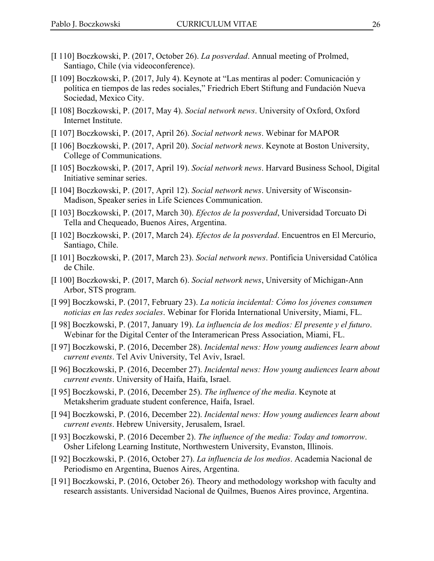- [I 110] Boczkowski, P. (2017, October 26). *La posverdad*. Annual meeting of Prolmed, Santiago, Chile (via videoconference).
- [I 109] Boczkowski, P. (2017, July 4). Keynote at "Las mentiras al poder: Comunicación y política en tiempos de las redes sociales," Friedrich Ebert Stiftung and Fundación Nueva Sociedad, Mexico City.
- [I 108] Boczkowski, P. (2017, May 4). *Social network news*. University of Oxford, Oxford Internet Institute.
- [I 107] Boczkowski, P. (2017, April 26). *Social network news*. Webinar for MAPOR
- [I 106] Boczkowski, P. (2017, April 20). *Social network news*. Keynote at Boston University, College of Communications.
- [I 105] Boczkowski, P. (2017, April 19). *Social network news*. Harvard Business School, Digital Initiative seminar series.
- [I 104] Boczkowski, P. (2017, April 12). *Social network news*. University of Wisconsin-Madison, Speaker series in Life Sciences Communication.
- [I 103] Boczkowski, P. (2017, March 30). *Efectos de la posverdad*, Universidad Torcuato Di Tella and Chequeado, Buenos Aires, Argentina.
- [I 102] Boczkowski, P. (2017, March 24). *Efectos de la posverdad*. Encuentros en El Mercurio, Santiago, Chile.
- [I 101] Boczkowski, P. (2017, March 23). *Social network news*. Pontificia Universidad Católica de Chile.
- [I 100] Boczkowski, P. (2017, March 6). *Social network news*, University of Michigan-Ann Arbor, STS program.
- [I 99] Boczkowski, P. (2017, February 23). *La noticia incidental: Cómo los jóvenes consumen noticias en las redes sociales*. Webinar for Florida International University, Miami, FL.
- [I 98] Boczkowski, P. (2017, January 19). *La influencia de los medios: El presente y el futuro*. Webinar for the Digital Center of the Interamerican Press Association, Miami, FL.
- [I 97] Boczkowski, P. (2016, December 28). *Incidental news: How young audiences learn about current events*. Tel Aviv University, Tel Aviv, Israel.
- [I 96] Boczkowski, P. (2016, December 27). *Incidental news: How young audiences learn about current events*. University of Haifa, Haifa, Israel.
- [I 95] Boczkowski, P. (2016, December 25). *The influence of the media*. Keynote at Metaksherim graduate student conference, Haifa, Israel.
- [I 94] Boczkowski, P. (2016, December 22). *Incidental news: How young audiences learn about current events*. Hebrew University, Jerusalem, Israel.
- [I 93] Boczkowski, P. (2016 December 2). *The influence of the media: Today and tomorrow*. Osher Lifelong Learning Institute, Northwestern University, Evanston, Illinois.
- [I 92] Boczkowski, P. (2016, October 27). *La influencia de los medios*. Academia Nacional de Periodismo en Argentina, Buenos Aires, Argentina.
- [I 91] Boczkowski, P. (2016, October 26). Theory and methodology workshop with faculty and research assistants. Universidad Nacional de Quilmes, Buenos Aires province, Argentina.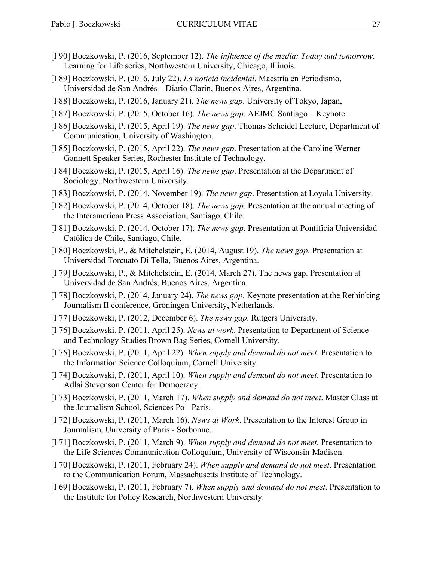- [I 90] Boczkowski, P. (2016, September 12). *The influence of the media: Today and tomorrow*. Learning for Life series, Northwestern University, Chicago, Illinois.
- [I 89] Boczkowski, P. (2016, July 22). *La noticia incidental*. Maestría en Periodismo, Universidad de San Andrés – Diario Clarín, Buenos Aires, Argentina.
- [I 88] Boczkowski, P. (2016, January 21). *The news gap*. University of Tokyo, Japan,
- [I 87] Boczkowski, P. (2015, October 16). *The news gap*. AEJMC Santiago Keynote.
- [I 86] Boczkowski, P. (2015, April 19). *The news gap*. Thomas Scheidel Lecture, Department of Communication, University of Washington.
- [I 85] Boczkowski, P. (2015, April 22). *The news gap*. Presentation at the Caroline Werner Gannett Speaker Series, Rochester Institute of Technology.
- [I 84] Boczkowski, P. (2015, April 16). *The news gap*. Presentation at the Department of Sociology, Northwestern University.
- [I 83] Boczkowski, P. (2014, November 19). *The news gap*. Presentation at Loyola University.
- [I 82] Boczkowski, P. (2014, October 18). *The news gap*. Presentation at the annual meeting of the Interamerican Press Association, Santiago, Chile.
- [I 81] Boczkowski, P. (2014, October 17). *The news gap*. Presentation at Pontificia Universidad Católica de Chile, Santiago, Chile.
- [I 80] Boczkowski, P., & Mitchelstein, E. (2014, August 19). *The news gap*. Presentation at Universidad Torcuato Di Tella, Buenos Aires, Argentina.
- [I 79] Boczkowski, P., & Mitchelstein, E. (2014, March 27). The news gap. Presentation at Universidad de San Andrés, Buenos Aires, Argentina.
- [I 78] Boczkowski, P. (2014, January 24). *The news gap*. Keynote presentation at the Rethinking Journalism II conference, Groningen University, Netherlands.
- [I 77] Boczkowski, P. (2012, December 6). *The news gap*. Rutgers University.
- [I 76] Boczkowski, P. (2011, April 25). *News at work*. Presentation to Department of Science and Technology Studies Brown Bag Series, Cornell University.
- [I 75] Boczkowski, P. (2011, April 22). *When supply and demand do not meet*. Presentation to the Information Science Colloquium, Cornell University.
- [I 74] Boczkowski, P. (2011, April 10). *When supply and demand do not meet*. Presentation to Adlai Stevenson Center for Democracy.
- [I 73] Boczkowski, P. (2011, March 17). *When supply and demand do not meet*. Master Class at the Journalism School, Sciences Po - Paris.
- [I 72] Boczkowski, P. (2011, March 16). *News at Work*. Presentation to the Interest Group in Journalism, University of Paris - Sorbonne.
- [I 71] Boczkowski, P. (2011, March 9). *When supply and demand do not meet*. Presentation to the Life Sciences Communication Colloquium, University of Wisconsin-Madison.
- [I 70] Boczkowski, P. (2011, February 24). *When supply and demand do not meet*. Presentation to the Communication Forum, Massachusetts Institute of Technology.
- [I 69] Boczkowski, P. (2011, February 7). *When supply and demand do not meet*. Presentation to the Institute for Policy Research, Northwestern University.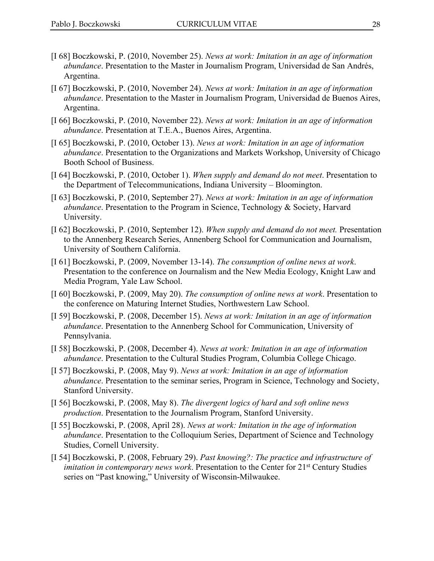- [I 68] Boczkowski, P. (2010, November 25). *News at work: Imitation in an age of information abundance*. Presentation to the Master in Journalism Program, Universidad de San Andrés, Argentina.
- [I 67] Boczkowski, P. (2010, November 24). *News at work: Imitation in an age of information abundance*. Presentation to the Master in Journalism Program, Universidad de Buenos Aires, Argentina.
- [I 66] Boczkowski, P. (2010, November 22). *News at work: Imitation in an age of information abundance*. Presentation at T.E.A., Buenos Aires, Argentina.
- [I 65] Boczkowski, P. (2010, October 13). *News at work: Imitation in an age of information abundance*. Presentation to the Organizations and Markets Workshop, University of Chicago Booth School of Business.
- [I 64] Boczkowski, P. (2010, October 1). *When supply and demand do not meet*. Presentation to the Department of Telecommunications, Indiana University – Bloomington.
- [I 63] Boczkowski, P. (2010, September 27). *News at work: Imitation in an age of information abundance*. Presentation to the Program in Science, Technology & Society, Harvard University.
- [I 62] Boczkowski, P. (2010, September 12). *When supply and demand do not meet.* Presentation to the Annenberg Research Series, Annenberg School for Communication and Journalism, University of Southern California.
- [I 61] Boczkowski, P. (2009, November 13-14). *The consumption of online news at work*. Presentation to the conference on Journalism and the New Media Ecology, Knight Law and Media Program, Yale Law School.
- [I 60] Boczkowski, P. (2009, May 20). *The consumption of online news at work*. Presentation to the conference on Maturing Internet Studies, Northwestern Law School.
- [I 59] Boczkowski, P. (2008, December 15). *News at work: Imitation in an age of information abundance*. Presentation to the Annenberg School for Communication, University of Pennsylvania.
- [I 58] Boczkowski, P. (2008, December 4). *News at work: Imitation in an age of information abundance*. Presentation to the Cultural Studies Program, Columbia College Chicago.
- [I 57] Boczkowski, P. (2008, May 9). *News at work: Imitation in an age of information abundance*. Presentation to the seminar series, Program in Science, Technology and Society, Stanford University.
- [I 56] Boczkowski, P. (2008, May 8). *The divergent logics of hard and soft online news production*. Presentation to the Journalism Program, Stanford University.
- [I 55] Boczkowski, P. (2008, April 28). *News at work: Imitation in the age of information abundance*. Presentation to the Colloquium Series, Department of Science and Technology Studies, Cornell University.
- [I 54] Boczkowski, P. (2008, February 29). *Past knowing?: The practice and infrastructure of imitation in contemporary news work*. Presentation to the Center for 21<sup>st</sup> Century Studies series on "Past knowing," University of Wisconsin-Milwaukee.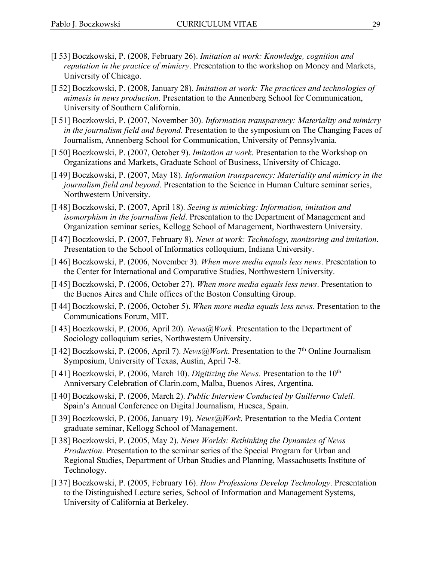- [I 53] Boczkowski, P. (2008, February 26). *Imitation at work: Knowledge, cognition and reputation in the practice of mimicry*. Presentation to the workshop on Money and Markets, University of Chicago.
- [I 52] Boczkowski, P. (2008, January 28). *Imitation at work: The practices and technologies of mimesis in news production*. Presentation to the Annenberg School for Communication, University of Southern California.
- [I 51] Boczkowski, P. (2007, November 30). *Information transparency: Materiality and mimicry in the journalism field and beyond*. Presentation to the symposium on The Changing Faces of Journalism, Annenberg School for Communication, University of Pennsylvania.
- [I 50] Boczkowski, P. (2007, October 9). *Imitation at work*. Presentation to the Workshop on Organizations and Markets, Graduate School of Business, University of Chicago.
- [I 49] Boczkowski, P. (2007, May 18). *Information transparency: Materiality and mimicry in the journalism field and beyond*. Presentation to the Science in Human Culture seminar series, Northwestern University.
- [I 48] Boczkowski, P. (2007, April 18). *Seeing is mimicking: Information, imitation and isomorphism in the journalism field*. Presentation to the Department of Management and Organization seminar series, Kellogg School of Management, Northwestern University.
- [I 47] Boczkowski, P. (2007, February 8). *News at work: Technology, monitoring and imitation*. Presentation to the School of Informatics colloquium, Indiana University.
- [I 46] Boczkowski, P. (2006, November 3). *When more media equals less news*. Presentation to the Center for International and Comparative Studies, Northwestern University.
- [I 45] Boczkowski, P. (2006, October 27). *When more media equals less news*. Presentation to the Buenos Aires and Chile offices of the Boston Consulting Group.
- [I 44] Boczkowski, P. (2006, October 5). *When more media equals less news*. Presentation to the Communications Forum, MIT.
- [I 43] Boczkowski, P. (2006, April 20). *News@Work*. Presentation to the Department of Sociology colloquium series, Northwestern University.
- [I 42] Boczkowski, P. (2006, April 7). *News@Work*. Presentation to the 7th Online Journalism Symposium, University of Texas, Austin, April 7-8.
- [I 41] Boczkowski, P. (2006, March 10). *Digitizing the News*. Presentation to the 10<sup>th</sup> Anniversary Celebration of Clarin.com, Malba, Buenos Aires, Argentina.
- [I 40] Boczkowski, P. (2006, March 2). *Public Interview Conducted by Guillermo Culell*. Spain's Annual Conference on Digital Journalism, Huesca, Spain.
- [I 39] Boczkowski, P. (2006, January 19). *News@Work*. Presentation to the Media Content graduate seminar, Kellogg School of Management.
- [I 38] Boczkowski, P. (2005, May 2). *News Worlds: Rethinking the Dynamics of News Production*. Presentation to the seminar series of the Special Program for Urban and Regional Studies, Department of Urban Studies and Planning, Massachusetts Institute of Technology.
- [I 37] Boczkowski, P. (2005, February 16). *How Professions Develop Technology*. Presentation to the Distinguished Lecture series, School of Information and Management Systems, University of California at Berkeley.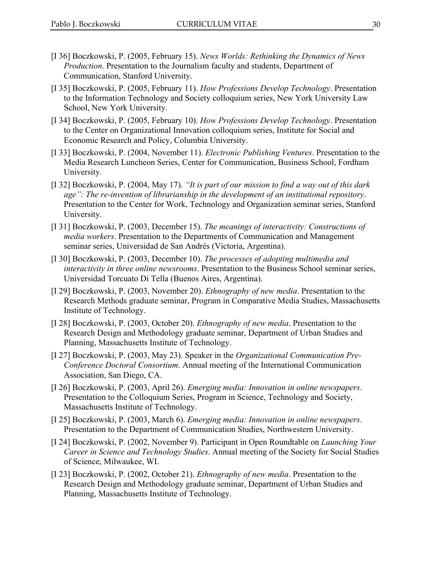- [I 36] Boczkowski, P. (2005, February 15). *News Worlds: Rethinking the Dynamics of News Production*. Presentation to the Journalism faculty and students, Department of Communication, Stanford University.
- [I 35] Boczkowski, P. (2005, February 11). *How Professions Develop Technology*. Presentation to the Information Technology and Society colloquium series, New York University Law School, New York University.
- [I 34] Boczkowski, P. (2005, February 10). *How Professions Develop Technology*. Presentation to the Center on Organizational Innovation colloquium series, Institute for Social and Economic Research and Policy, Columbia University.
- [I 33] Boczkowski, P. (2004, November 11). *Electronic Publishing Ventures*. Presentation to the Media Research Luncheon Series, Center for Communication, Business School, Fordham University.
- [I 32] Boczkowski, P. (2004, May 17). *"It is part of our mission to find a way out of this dark age": The re-invention of librarianship in the development of an institutional repository*. Presentation to the Center for Work, Technology and Organization seminar series, Stanford University.
- [I 31] Boczkowski, P. (2003, December 15). *The meanings of interactivity: Constructions of media workers*. Presentation to the Departments of Communication and Management seminar series, Universidad de San Andrés (Victoria, Argentina).
- [I 30] Boczkowski, P. (2003, December 10). *The processes of adopting multimedia and interactivity in three online newsrooms*. Presentation to the Business School seminar series, Universidad Torcuato Di Tella (Buenos Aires, Argentina).
- [I 29] Boczkowski, P. (2003, November 20). *Ethnography of new media*. Presentation to the Research Methods graduate seminar, Program in Comparative Media Studies, Massachusetts Institute of Technology.
- [I 28] Boczkowski, P. (2003, October 20). *Ethnography of new media*. Presentation to the Research Design and Methodology graduate seminar, Department of Urban Studies and Planning, Massachusetts Institute of Technology.
- [I 27] Boczkowski, P. (2003, May 23). Speaker in the *Organizational Communication Pre-Conference Doctoral Consortium*. Annual meeting of the International Communication Association, San Diego, CA.
- [I 26] Boczkowski, P. (2003, April 26). *Emerging media: Innovation in online newspapers*. Presentation to the Colloquium Series, Program in Science, Technology and Society, Massachusetts Institute of Technology.
- [I 25] Boczkowski, P. (2003, March 6). *Emerging media: Innovation in online newspapers*. Presentation to the Department of Communication Studies, Northwestern University.
- [I 24] Boczkowski, P. (2002, November 9). Participant in Open Roundtable on *Launching Your Career in Science and Technology Studies*. Annual meeting of the Society for Social Studies of Science, Milwaukee, WI.
- [I 23] Boczkowski, P. (2002, October 21). *Ethnography of new media*. Presentation to the Research Design and Methodology graduate seminar, Department of Urban Studies and Planning, Massachusetts Institute of Technology.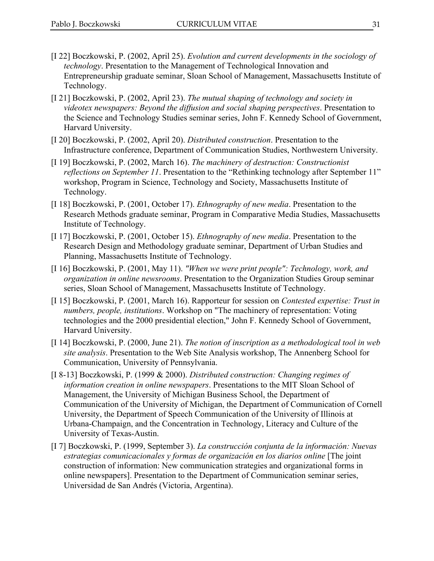- [I 22] Boczkowski, P. (2002, April 25). *Evolution and current developments in the sociology of technology*. Presentation to the Management of Technological Innovation and Entrepreneurship graduate seminar, Sloan School of Management, Massachusetts Institute of Technology.
- [I 21] Boczkowski, P. (2002, April 23). *The mutual shaping of technology and society in videotex newspapers: Beyond the diffusion and social shaping perspectives*. Presentation to the Science and Technology Studies seminar series, John F. Kennedy School of Government, Harvard University.
- [I 20] Boczkowski, P. (2002, April 20). *Distributed construction*. Presentation to the Infrastructure conference, Department of Communication Studies, Northwestern University.
- [I 19] Boczkowski, P. (2002, March 16). *The machinery of destruction: Constructionist reflections on September 11*. Presentation to the "Rethinking technology after September 11" workshop, Program in Science, Technology and Society, Massachusetts Institute of Technology.
- [I 18] Boczkowski, P. (2001, October 17). *Ethnography of new media*. Presentation to the Research Methods graduate seminar, Program in Comparative Media Studies, Massachusetts Institute of Technology.
- [I 17] Boczkowski, P. (2001, October 15). *Ethnography of new media*. Presentation to the Research Design and Methodology graduate seminar, Department of Urban Studies and Planning, Massachusetts Institute of Technology.
- [I 16] Boczkowski, P. (2001, May 11). *"When we were print people": Technology, work, and organization in online newsrooms*. Presentation to the Organization Studies Group seminar series, Sloan School of Management, Massachusetts Institute of Technology.
- [I 15] Boczkowski, P. (2001, March 16). Rapporteur for session on *Contested expertise: Trust in numbers, people, institutions*. Workshop on "The machinery of representation: Voting technologies and the 2000 presidential election," John F. Kennedy School of Government, Harvard University.
- [I 14] Boczkowski, P. (2000, June 21). *The notion of inscription as a methodological tool in web site analysis*. Presentation to the Web Site Analysis workshop, The Annenberg School for Communication, University of Pennsylvania.
- [I 8-13] Boczkowski, P. (1999 & 2000). *Distributed construction: Changing regimes of information creation in online newspapers*. Presentations to the MIT Sloan School of Management, the University of Michigan Business School, the Department of Communication of the University of Michigan, the Department of Communication of Cornell University, the Department of Speech Communication of the University of Illinois at Urbana-Champaign, and the Concentration in Technology, Literacy and Culture of the University of Texas-Austin.
- [I 7] Boczkowski, P. (1999, September 3). *La construcción conjunta de la información: Nuevas estrategias comunicacionales y formas de organización en los diarios online* [The joint construction of information: New communication strategies and organizational forms in online newspapers]. Presentation to the Department of Communication seminar series, Universidad de San Andrés (Victoria, Argentina).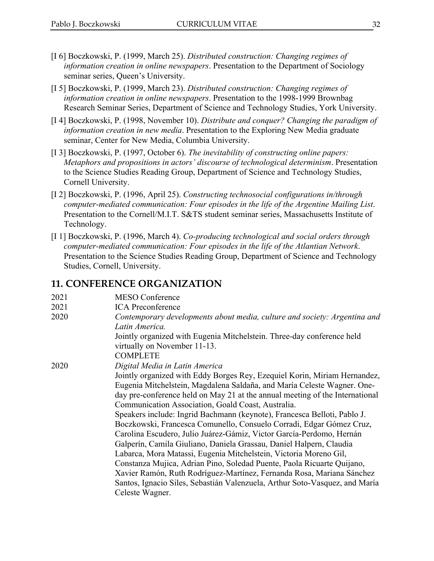- [I 6] Boczkowski, P. (1999, March 25). *Distributed construction: Changing regimes of information creation in online newspapers*. Presentation to the Department of Sociology seminar series, Queen's University.
- [I 5] Boczkowski, P. (1999, March 23). *Distributed construction: Changing regimes of information creation in online newspapers*. Presentation to the 1998-1999 Brownbag Research Seminar Series, Department of Science and Technology Studies, York University.
- [I 4] Boczkowski, P. (1998, November 10). *Distribute and conquer? Changing the paradigm of information creation in new media*. Presentation to the Exploring New Media graduate seminar, Center for New Media, Columbia University.
- [I 3] Boczkowski, P. (1997, October 6). *The inevitability of constructing online papers: Metaphors and propositions in actors' discourse of technological determinism*. Presentation to the Science Studies Reading Group, Department of Science and Technology Studies, Cornell University.
- [I 2] Boczkowski, P. (1996, April 25). *Constructing technosocial configurations in/through computer-mediated communication: Four episodes in the life of the Argentine Mailing List*. Presentation to the Cornell/M.I.T. S&TS student seminar series, Massachusetts Institute of Technology.
- [I 1] Boczkowski, P. (1996, March 4). *Co-producing technological and social orders through computer-mediated communication: Four episodes in the life of the Atlantian Network*. Presentation to the Science Studies Reading Group, Department of Science and Technology Studies, Cornell, University.

#### **11. CONFERENCE ORGANIZATION**

| 2021 | <b>MESO Conference</b>                                                       |
|------|------------------------------------------------------------------------------|
| 2021 | <b>ICA</b> Preconference                                                     |
| 2020 | Contemporary developments about media, culture and society: Argentina and    |
|      | Latin America.                                                               |
|      | Jointly organized with Eugenia Mitchelstein. Three-day conference held       |
|      | virtually on November 11-13.                                                 |
|      | <b>COMPLETE</b>                                                              |
| 2020 | Digital Media in Latin America                                               |
|      | Jointly organized with Eddy Borges Rey, Ezequiel Korin, Miriam Hernandez,    |
|      | Eugenia Mitchelstein, Magdalena Saldaña, and María Celeste Wagner. One-      |
|      | day pre-conference held on May 21 at the annual meeting of the International |
|      | Communication Association, Goald Coast, Australia.                           |
|      | Speakers include: Ingrid Bachmann (keynote), Francesca Belloti, Pablo J.     |
|      | Boczkowski, Francesca Comunello, Consuelo Corradi, Edgar Gómez Cruz,         |
|      | Carolina Escudero, Julio Juárez-Gámiz, Victor García-Perdomo, Hernán         |
|      | Galperín, Camila Giuliano, Daniela Grassau, Daniel Halpern, Claudia          |
|      | Labarca, Mora Matassi, Eugenia Mitchelstein, Victoria Moreno Gil,            |
|      | Constanza Mujica, Adrian Pino, Soledad Puente, Paola Ricuarte Quijano,       |
|      | Xavier Ramón, Ruth Rodríguez-Martínez, Fernanda Rosa, Mariana Sánchez        |
|      | Santos, Ignacio Siles, Sebastián Valenzuela, Arthur Soto-Vasquez, and María  |
|      | Celeste Wagner.                                                              |
|      |                                                                              |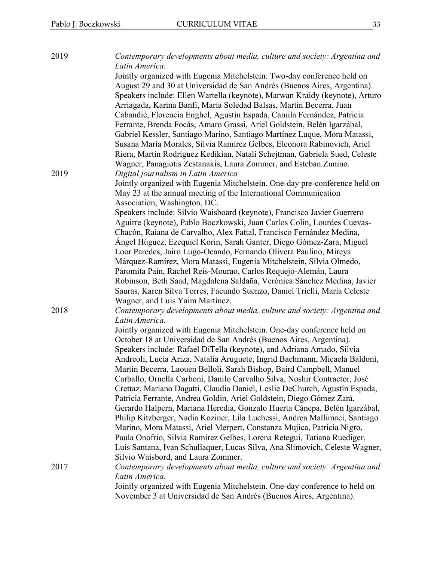| 2019 | Contemporary developments about media, culture and society: Argentina and<br>Latin America.                                                |
|------|--------------------------------------------------------------------------------------------------------------------------------------------|
|      | Jointly organized with Eugenia Mitchelstein. Two-day conference held on                                                                    |
|      | August 29 and 30 at Universidad de San Andrés (Buenos Aires, Argentina).                                                                   |
|      | Speakers include: Ellen Wartella (keynote), Marwan Kraidy (keynote), Arturo                                                                |
|      | Arriagada, Karina Banfi, María Soledad Balsas, Martín Becerra, Juan                                                                        |
|      | Cabandié, Florencia Enghel, Agustín Espada, Camila Fernández, Patricia                                                                     |
|      | Ferrante, Brenda Focás, Amaro Grassi, Ariel Goldstein, Belén Igarzábal,                                                                    |
|      | Gabriel Kessler, Santiago Marino, Santiago Martínez Luque, Mora Matassi,                                                                   |
|      | Susana María Morales, Silvia Ramírez Gelbes, Eleonora Rabinovich, Ariel                                                                    |
|      | Riera, Martín Rodríguez Kedikian, Natalí Schejtman, Gabriela Sued, Celeste                                                                 |
|      | Wagner, Panagiotis Zestanakis, Laura Zommer, and Esteban Zunino.                                                                           |
| 2019 | Digital journalism in Latin America                                                                                                        |
|      | Jointly organized with Eugenia Mitchelstein. One-day pre-conference held on                                                                |
|      | May 23 at the annual meeting of the International Communication                                                                            |
|      | Association, Washington, DC.                                                                                                               |
|      | Speakers include: Silvio Waisboard (keynote), Francisco Javier Guerrero                                                                    |
|      | Aguirre (keynote), Pablo Boczkowski, Juan Carlos Colin, Lourdes Cuevas-                                                                    |
|      | Chacón, Raiana de Carvalho, Alex Fattal, Francisco Fernández Medina,                                                                       |
|      | Angel Húguez, Ezequiel Korin, Sarah Ganter, Diego Gómez-Zara, Miguel                                                                       |
|      | Loor Paredes, Jairo Lugo-Ocando, Fernando Olivera Paulino, Mireya                                                                          |
|      | Márquez-Ramírez, Mora Matassi, Eugenia Mitchelstein, Silvia Olmedo,                                                                        |
|      | Paromita Pain, Rachel Reis-Mourao, Carlos Requejo-Alemán, Laura<br>Robinson, Beth Saad, Magdalena Saldaña, Verónica Sánchez Medina, Javier |
|      | Sauras, Karen Silva Torres, Facundo Suenzo, Daniel Trielli, María Celeste                                                                  |
|      | Wagner, and Luis Yaim Martínez.                                                                                                            |
| 2018 | Contemporary developments about media, culture and society: Argentina and                                                                  |
|      | Latin America.                                                                                                                             |
|      | Jointly organized with Eugenia Mitchelstein. One-day conference held on                                                                    |
|      | October 18 at Universidad de San Andrés (Buenos Aires, Argentina).                                                                         |
|      | Speakers include: Rafael DiTella (keynote), and Adriana Amado, Silvia                                                                      |
|      | Andreoli, Lucía Ariza, Natalia Aruguete, Ingrid Bachmann, Micaela Baldoni,                                                                 |
|      | Martín Becerra, Laouen Belloli, Sarah Bishop, Baird Campbell, Manuel                                                                       |
|      | Carballo, Ornella Carboni, Danilo Carvalho Silva, Noshir Contractor, José                                                                  |
|      | Crettaz, Mariano Dagatti, Claudia Daniel, Leslie DeChurch, Agustín Espada,                                                                 |
|      | Patricia Ferrante, Andrea Goldin, Ariel Goldstein, Diego Gómez Zará,                                                                       |
|      | Gerardo Halpern, Mariana Heredia, Gonzalo Huerta Cánepa, Belén Igarzábal,                                                                  |
|      | Philip Kitzberger, Nadia Koziner, Lila Luchessi, Andrea Mallimaci, Santiago                                                                |
|      | Marino, Mora Matassi, Ariel Merpert, Constanza Mujica, Patricia Nigro,                                                                     |
|      | Paula Onofrio, Silvia Ramírez Gelbes, Lorena Retegui, Tatiana Ruediger,                                                                    |
|      | Luis Santana, Ivan Schuliaquer, Lucas Silva, Ana Slimovich, Celeste Wagner,                                                                |
|      | Silvio Waisbord, and Laura Zommer.                                                                                                         |
| 2017 | Contemporary developments about media, culture and society: Argentina and                                                                  |
|      | Latin America.                                                                                                                             |
|      | Jointly organized with Eugenia Mitchelstein. One-day conference to held on                                                                 |
|      | November 3 at Universidad de San Andrés (Buenos Aires, Argentina).                                                                         |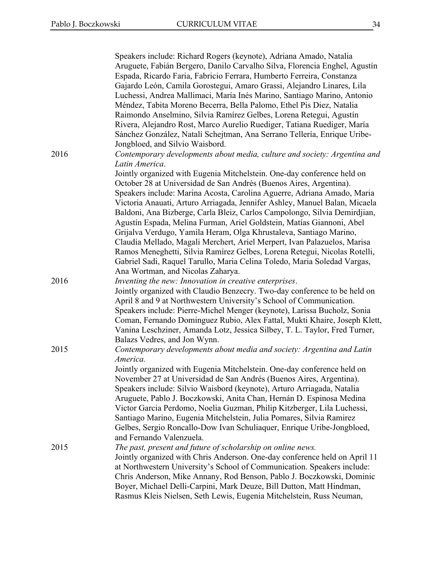|      | Speakers include: Richard Rogers (keynote), Adriana Amado, Natalia<br>Aruguete, Fabián Bergero, Danilo Carvalho Silva, Florencia Enghel, Agustín<br>Espada, Ricardo Faria, Fabricio Ferrara, Humberto Ferreira, Constanza<br>Gajardo León, Camila Gorostegui, Amaro Grassi, Alejandro Linares, Lila<br>Luchessi, Andrea Mallimaci, María Inés Marino, Santiago Marino, Antonio<br>Méndez, Tabita Moreno Becerra, Bella Palomo, Ethel Pis Diez, Natalia<br>Raimondo Anselmino, Silvia Ramírez Gelbes, Lorena Retegui, Agustín<br>Rivera, Alejandro Rost, Marco Aurelio Ruediger, Tatiana Ruediger, María<br>Sánchez González, Natalí Schejtman, Ana Serrano Tellería, Enrique Uribe-                                                                                                                                            |
|------|--------------------------------------------------------------------------------------------------------------------------------------------------------------------------------------------------------------------------------------------------------------------------------------------------------------------------------------------------------------------------------------------------------------------------------------------------------------------------------------------------------------------------------------------------------------------------------------------------------------------------------------------------------------------------------------------------------------------------------------------------------------------------------------------------------------------------------|
| 2016 | Jongbloed, and Silvio Waisbord.<br>Contemporary developments about media, culture and society: Argentina and                                                                                                                                                                                                                                                                                                                                                                                                                                                                                                                                                                                                                                                                                                                   |
|      | Latin America.<br>Jointly organized with Eugenia Mitchelstein. One-day conference held on<br>October 28 at Universidad de San Andrés (Buenos Aires, Argentina).<br>Speakers include: Marina Acosta, Carolina Aguerre, Adriana Amado, Maria<br>Victoria Anauati, Arturo Arriagada, Jennifer Ashley, Manuel Balan, Micaela<br>Baldoni, Ana Bizberge, Carla Bleiz, Carlos Campolongo, Silvia Demirdjian,<br>Agustín Espada, Melina Furman, Ariel Goldstein, Matías Giannoni, Abel<br>Grijalva Verdugo, Yamila Heram, Olga Khrustaleva, Santiago Marino,<br>Claudia Mellado, Magali Merchert, Ariel Merpert, Ivan Palazuelos, Marisa<br>Ramos Meneghetti, Silvia Ramírez Gelbes, Lorena Retegui, Nicolas Rotelli,<br>Gabriel Sadi, Raquel Tarullo, Maria Celina Toledo, Maria Soledad Vargas,<br>Ana Wortman, and Nicolas Zaharya. |
| 2016 | Inventing the new: Innovation in creative enterprises.<br>Jointly organized with Claudio Benzecry. Two-day conference to be held on<br>April 8 and 9 at Northwestern University's School of Communication.<br>Speakers include: Pierre-Michel Menger (keynote), Larissa Bucholz, Sonia<br>Coman, Fernando Dominguez Rubio, Alex Fattal, Mukti Khaire, Joseph Klett,<br>Vanina Leschziner, Amanda Lotz, Jessica Silbey, T. L. Taylor, Fred Turner,<br>Balazs Vedres, and Jon Wynn.                                                                                                                                                                                                                                                                                                                                              |
| 2015 | Contemporary developments about media and society: Argentina and Latin<br>America.<br>Jointly organized with Eugenia Mitchelstein. One-day conference held on<br>November 27 at Universidad de San Andrés (Buenos Aires, Argentina).<br>Speakers include: Silvio Waisbord (keynote), Arturo Arriagada, Natalia<br>Aruguete, Pablo J. Boczkowski, Anita Chan, Hernán D. Espinosa Medina<br>Victor Garcia Perdomo, Noelia Guzman, Philip Kitzberger, Lila Luchessi,<br>Santiago Marino, Eugenia Mitchelstein, Julia Pomares, Silvia Ramirez<br>Gelbes, Sergio Roncallo-Dow Ivan Schuliaquer, Enrique Uribe-Jongbloed,<br>and Fernando Valenzuela.                                                                                                                                                                                |
| 2015 | The past, present and future of scholarship on online news.<br>Jointly organized with Chris Anderson. One-day conference held on April 11<br>at Northwestern University's School of Communication. Speakers include:<br>Chris Anderson, Mike Annany, Rod Benson, Pablo J. Boczkowski, Dominic<br>Boyer, Michael Delli-Carpini, Mark Deuze, Bill Dutton, Matt Hindman,<br>Rasmus Kleis Nielsen, Seth Lewis, Eugenia Mitchelstein, Russ Neuman,                                                                                                                                                                                                                                                                                                                                                                                  |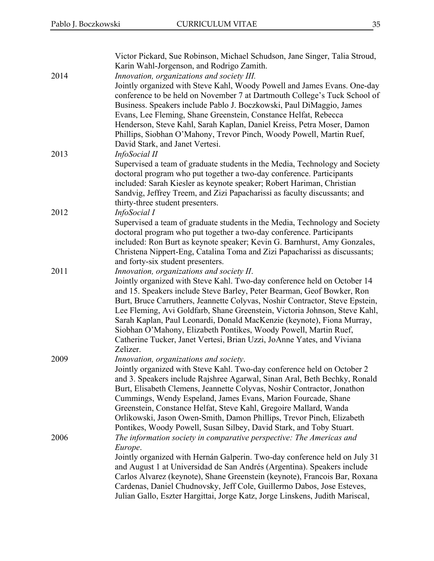| 2014 | Victor Pickard, Sue Robinson, Michael Schudson, Jane Singer, Talia Stroud,<br>Karin Wahl-Jorgenson, and Rodrigo Zamith.<br>Innovation, organizations and society III.                                                                                                                                                                                                                                                                                                                                                                                                                             |
|------|---------------------------------------------------------------------------------------------------------------------------------------------------------------------------------------------------------------------------------------------------------------------------------------------------------------------------------------------------------------------------------------------------------------------------------------------------------------------------------------------------------------------------------------------------------------------------------------------------|
|      | Jointly organized with Steve Kahl, Woody Powell and James Evans. One-day<br>conference to be held on November 7 at Dartmouth College's Tuck School of<br>Business. Speakers include Pablo J. Boczkowski, Paul DiMaggio, James<br>Evans, Lee Fleming, Shane Greenstein, Constance Helfat, Rebecca<br>Henderson, Steve Kahl, Sarah Kaplan, Daniel Kreiss, Petra Moser, Damon<br>Phillips, Siobhan O'Mahony, Trevor Pinch, Woody Powell, Martin Ruef,<br>David Stark, and Janet Vertesi.                                                                                                             |
| 2013 | InfoSocial II<br>Supervised a team of graduate students in the Media, Technology and Society<br>doctoral program who put together a two-day conference. Participants<br>included: Sarah Kiesler as keynote speaker; Robert Hariman, Christian<br>Sandvig, Jeffrey Treem, and Zizi Papacharissi as faculty discussants; and<br>thirty-three student presenters.                                                                                                                                                                                                                                    |
| 2012 | InfoSocial I<br>Supervised a team of graduate students in the Media, Technology and Society<br>doctoral program who put together a two-day conference. Participants<br>included: Ron Burt as keynote speaker; Kevin G. Barnhurst, Amy Gonzales,<br>Christena Nippert-Eng, Catalina Toma and Zizi Papacharissi as discussants;<br>and forty-six student presenters.                                                                                                                                                                                                                                |
| 2011 | Innovation, organizations and society II.<br>Jointly organized with Steve Kahl. Two-day conference held on October 14<br>and 15. Speakers include Steve Barley, Peter Bearman, Geof Bowker, Ron<br>Burt, Bruce Carruthers, Jeannette Colyvas, Noshir Contractor, Steve Epstein,<br>Lee Fleming, Avi Goldfarb, Shane Greenstein, Victoria Johnson, Steve Kahl,<br>Sarah Kaplan, Paul Leonardi, Donald MacKenzie (keynote), Fiona Murray,<br>Siobhan O'Mahony, Elizabeth Pontikes, Woody Powell, Martin Ruef,<br>Catherine Tucker, Janet Vertesi, Brian Uzzi, JoAnne Yates, and Viviana<br>Zelizer. |
| 2009 | Innovation, organizations and society.<br>Jointly organized with Steve Kahl. Two-day conference held on October 2<br>and 3. Speakers include Rajshree Agarwal, Sinan Aral, Beth Bechky, Ronald<br>Burt, Elisabeth Clemens, Jeannette Colyvas, Noshir Contractor, Jonathon<br>Cummings, Wendy Espeland, James Evans, Marion Fourcade, Shane<br>Greenstein, Constance Helfat, Steve Kahl, Gregoire Mallard, Wanda<br>Orlikowski, Jason Owen-Smith, Damon Phillips, Trevor Pinch, Elizabeth<br>Pontikes, Woody Powell, Susan Silbey, David Stark, and Toby Stuart.                                   |
| 2006 | The information society in comparative perspective: The Americas and<br>Europe.<br>Jointly organized with Hernán Galperin. Two-day conference held on July 31<br>and August 1 at Universidad de San Andrés (Argentina). Speakers include<br>Carlos Alvarez (keynote), Shane Greenstein (keynote), Francois Bar, Roxana<br>Cardenas, Daniel Chudnovsky, Jeff Cole, Guillermo Dabos, Jose Esteves,<br>Julian Gallo, Eszter Hargittai, Jorge Katz, Jorge Linskens, Judith Mariscal,                                                                                                                  |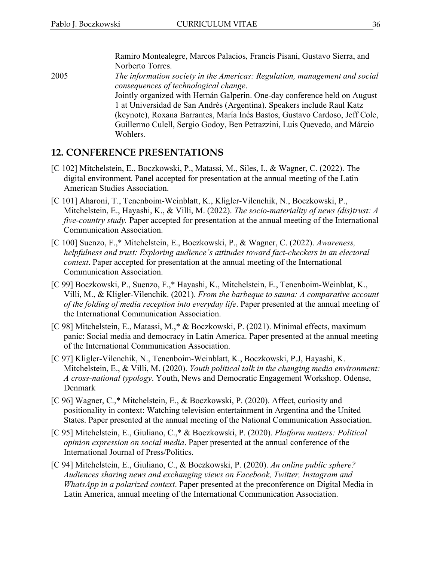Ramiro Montealegre, Marcos Palacios, Francis Pisani, Gustavo Sierra, and Norberto Torres.

2005 *The information society in the Americas: Regulation, management and social consequences of technological change*. Jointly organized with Hernán Galperin. One-day conference held on August 1 at Universidad de San Andrés (Argentina). Speakers include Raul Katz (keynote), Roxana Barrantes, María Inés Bastos, Gustavo Cardoso, Jeff Cole, Guillermo Culell, Sergio Godoy, Ben Petrazzini, Luis Quevedo, and Márcio Wohlers.

#### **12. CONFERENCE PRESENTATIONS**

- [C 102] Mitchelstein, E., Boczkowski, P., Matassi, M., Siles, I., & Wagner, C. (2022). The digital environment. Panel accepted for presentation at the annual meeting of the Latin American Studies Association.
- [C 101] Aharoni, T., Tenenboim-Weinblatt, K., Kligler-Vilenchik, N., Boczkowski, P., Mitchelstein, E., Hayashi, K., & Villi, M. (2022). *The socio-materiality of news (dis)trust: A five-country study.* Paper accepted for presentation at the annual meeting of the International Communication Association.
- [C 100] Suenzo, F.,\* Mitchelstein, E., Boczkowski, P., & Wagner, C. (2022). *Awareness, helpfulness and trust: Exploring audience's attitudes toward fact-checkers in an electoral context*. Paper accepted for presentation at the annual meeting of the International Communication Association.
- [C 99] Boczkowski, P., Suenzo, F.,\* Hayashi, K., Mitchelstein, E., Tenenboim-Weinblat, K., Villi, M., & Kligler-Vilenchik. (2021). *From the barbeque to sauna: A comparative account of the folding of media reception into everyday life*. Paper presented at the annual meeting of the International Communication Association.
- [C 98] Mitchelstein, E., Matassi, M.,\* & Boczkowski, P. (2021). Minimal effects, maximum panic: Social media and democracy in Latin America. Paper presented at the annual meeting of the International Communication Association.
- [C 97] Kligler-Vilenchik, N., Tenenboim-Weinblatt, K., Boczkowski, P.J, Hayashi, K. Mitchelstein, E., & Villi, M. (2020). *Youth political talk in the changing media environment: A cross-national typology*. Youth, News and Democratic Engagement Workshop. Odense, Denmark
- [C 96] Wagner, C.,\* Mitchelstein, E., & Boczkowski, P. (2020). Affect, curiosity and positionality in context: Watching television entertainment in Argentina and the United States. Paper presented at the annual meeting of the National Communication Association.
- [C 95] Mitchelstein, E., Giuliano, C.,\* & Boczkowski, P. (2020). *Platform matters: Political opinion expression on social media*. Paper presented at the annual conference of the International Journal of Press/Politics.
- [C 94] Mitchelstein, E., Giuliano, C., & Boczkowski, P. (2020). *An online public sphere? Audiences sharing news and exchanging views on Facebook, Twitter, Instagram and WhatsApp in a polarized context*. Paper presented at the preconference on Digital Media in Latin America, annual meeting of the International Communication Association.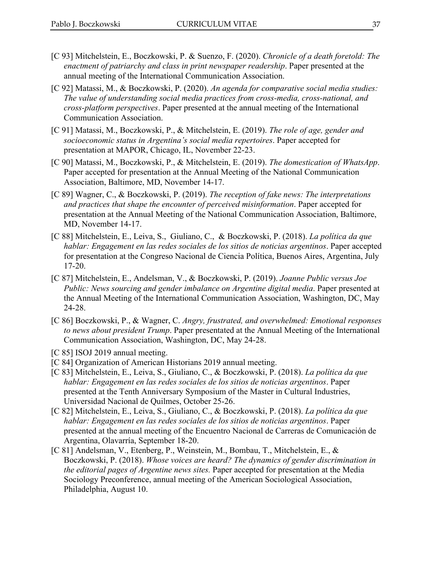- [C 93] Mitchelstein, E., Boczkowski, P. & Suenzo, F. (2020). *Chronicle of a death foretold: The enactment of patriarchy and class in print newspaper readership*. Paper presented at the annual meeting of the International Communication Association.
- [C 92] Matassi, M., & Boczkowski, P. (2020). *An agenda for comparative social media studies: The value of understanding social media practices from cross-media, cross-national, and cross-platform perspectives*. Paper presented at the annual meeting of the International Communication Association.
- [C 91] Matassi, M., Boczkowski, P., & Mitchelstein, E. (2019). *The role of age, gender and socioeconomic status in Argentina's social media repertoires*. Paper accepted for presentation at MAPOR, Chicago, IL, November 22-23.
- [C 90] Matassi, M., Boczkowski, P., & Mitchelstein, E. (2019). *The domestication of WhatsApp*. Paper accepted for presentation at the Annual Meeting of the National Communication Association, Baltimore, MD, November 14-17.
- [C 89] Wagner, C., & Boczkowski, P. (2019). *The reception of fake news: The interpretations and practices that shape the encounter of perceived misinformation*. Paper accepted for presentation at the Annual Meeting of the National Communication Association, Baltimore, MD, November 14-17.
- [C 88] Mitchelstein, E., Leiva, S., Giuliano, C., & Boczkowski, P. (2018). *La política da que hablar: Engagement en las redes sociales de los sitios de noticias argentinos*. Paper accepted for presentation at the Congreso Nacional de Ciencia Política, Buenos Aires, Argentina, July 17-20.
- [C 87] Mitchelstein, E., Andelsman, V., & Boczkowski, P. (2019). *Joanne Public versus Joe Public: News sourcing and gender imbalance on Argentine digital media*. Paper presented at the Annual Meeting of the International Communication Association, Washington, DC, May 24-28.
- [C 86] Boczkowski, P., & Wagner, C. *Angry, frustrated, and overwhelmed: Emotional responses to news about president Trump*. Paper presentated at the Annual Meeting of the International Communication Association, Washington, DC, May 24-28.
- [C 85] ISOJ 2019 annual meeting.
- [C 84] Organization of American Historians 2019 annual meeting.
- [C 83] Mitchelstein, E., Leiva, S., Giuliano, C., & Boczkowski, P. (2018). *La política da que hablar: Engagement en las redes sociales de los sitios de noticias argentinos*. Paper presented at the Tenth Anniversary Symposium of the Master in Cultural Industries, Universidad Nacional de Quilmes, October 25-26.
- [C 82] Mitchelstein, E., Leiva, S., Giuliano, C., & Boczkowski, P. (2018). *La política da que hablar: Engagement en las redes sociales de los sitios de noticias argentinos*. Paper presented at the annual meeting of the Encuentro Nacional de Carreras de Comunicación de Argentina, Olavarría, September 18-20.
- [C 81] Andelsman, V., Etenberg, P., Weinstein, M., Bombau, T., Mitchelstein, E., & Boczkowski, P. (2018). *Whose voices are heard? The dynamics of gender discrimination in the editorial pages of Argentine news sites.* Paper accepted for presentation at the Media Sociology Preconference, annual meeting of the American Sociological Association, Philadelphia, August 10.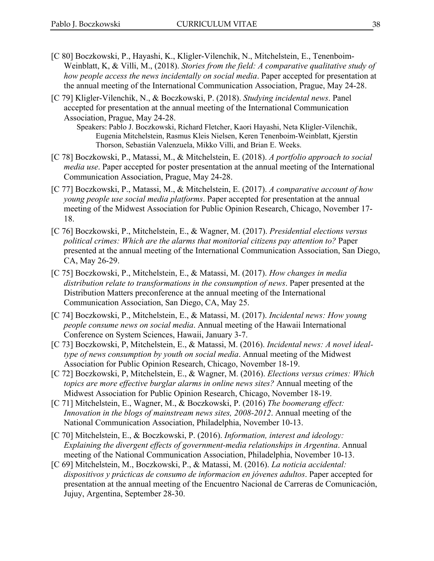- [C 80] Boczkowski, P., Hayashi, K., Kligler-Vilenchik, N., Mitchelstein, E., Tenenboim-Weinblatt, K, & Villi, M., (2018). *Stories from the field: A comparative qualitative study of how people access the news incidentally on social media*. Paper accepted for presentation at the annual meeting of the International Communication Association, Prague, May 24-28.
- [C 79] Kligler-Vilenchik, N., & Boczkowski, P. (2018). *Studying incidental news*. Panel accepted for presentation at the annual meeting of the International Communication Association, Prague, May 24-28.

Speakers: Pablo J. Boczkowski, Richard Fletcher, Kaori Hayashi, Neta Kligler-Vilenchik, Eugenia Mitchelstein, Rasmus Kleis Nielsen, Keren Tenenboim-Weinblatt, Kjerstin Thorson, Sebastián Valenzuela, Mikko Villi, and Brian E. Weeks.

- [C 78] Boczkowski, P., Matassi, M., & Mitchelstein, E. (2018). *A portfolio approach to social media use*. Paper accepted for poster presentation at the annual meeting of the International Communication Association, Prague, May 24-28.
- [C 77] Boczkowski, P., Matassi, M., & Mitchelstein, E. (2017). *A comparative account of how young people use social media platforms*. Paper accepted for presentation at the annual meeting of the Midwest Association for Public Opinion Research, Chicago, November 17- 18.
- [C 76] Boczkowski, P., Mitchelstein, E., & Wagner, M. (2017). *Presidential elections versus political crimes: Which are the alarms that monitorial citizens pay attention to?* Paper presented at the annual meeting of the International Communication Association, San Diego, CA, May 26-29.
- [C 75] Boczkowski, P., Mitchelstein, E., & Matassi, M. (2017). *How changes in media distribution relate to transformations in the consumption of news*. Paper presented at the Distribution Matters preconference at the annual meeting of the International Communication Association, San Diego, CA, May 25.
- [C 74] Boczkowski, P., Mitchelstein, E., & Matassi, M. (2017). *Incidental news: How young people consume news on social media*. Annual meeting of the Hawaii International Conference on System Sciences, Hawaii, January 3-7.
- [C 73] Boczkowski, P, Mitchelstein, E., & Matassi, M. (2016). *Incidental news: A novel idealtype of news consumption by youth on social media*. Annual meeting of the Midwest Association for Public Opinion Research, Chicago, November 18-19.
- [C 72] Boczkowski, P, Mitchelstein, E., & Wagner, M. (2016). *Elections versus crimes: Which topics are more effective burglar alarms in online news sites?* Annual meeting of the Midwest Association for Public Opinion Research, Chicago, November 18-19.
- [C 71] Mitchelstein, E., Wagner, M., & Boczkowski, P. (2016) *The boomerang effect: Innovation in the blogs of mainstream news sites, 2008-2012*. Annual meeting of the National Communication Association, Philadelphia, November 10-13.
- [C 70] Mitchelstein, E., & Boczkowski, P. (2016). *Information, interest and ideology: Explaining the divergent effects of government-media relationships in Argentina*. Annual meeting of the National Communication Association, Philadelphia, November 10-13.
- [C 69] Mitchelstein, M., Boczkowski, P., & Matassi, M. (2016). *La noticia accidental: dispositivos y prácticas de consumo de informacion en jóvenes adultos*. Paper accepted for presentation at the annual meeting of the Encuentro Nacional de Carreras de Comunicación, Jujuy, Argentina, September 28-30.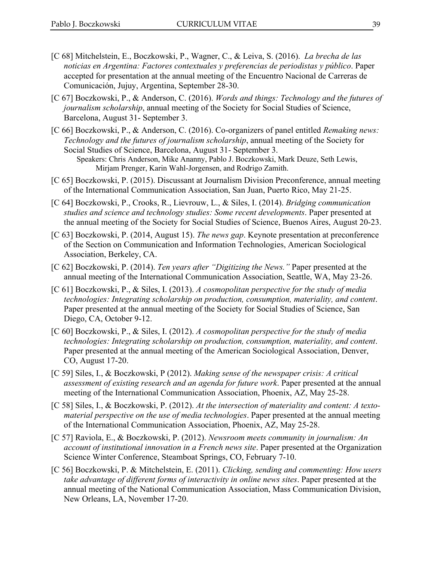- [C 68] Mitchelstein, E., Boczkowski, P., Wagner, C., & Leiva, S. (2016). *La brecha de las noticias en Argentina: Factores contextuales y preferencias de periodistas y público*. Paper accepted for presentation at the annual meeting of the Encuentro Nacional de Carreras de Comunicación, Jujuy, Argentina, September 28-30.
- [C 67] Boczkowski, P., & Anderson, C. (2016). *Words and things: Technology and the futures of journalism scholarship*, annual meeting of the Society for Social Studies of Science, Barcelona, August 31- September 3.
- [C 66] Boczkowski, P., & Anderson, C. (2016). Co-organizers of panel entitled *Remaking news: Technology and the futures of journalism scholarship*, annual meeting of the Society for Social Studies of Science, Barcelona, August 31- September 3. Speakers: Chris Anderson, Mike Ananny, Pablo J. Boczkowski, Mark Deuze, Seth Lewis, Mirjam Prenger, Karin Wahl-Jorgensen, and Rodrigo Zamith.
- [C 65] Boczkowski, P. (2015). Discussant at Journalism Division Preconference, annual meeting of the International Communication Association, San Juan, Puerto Rico, May 21-25.
- [C 64] Boczkowski, P., Crooks, R., Lievrouw, L., & Siles, I. (2014). *Bridging communication studies and science and technology studies: Some recent developments*. Paper presented at the annual meeting of the Society for Social Studies of Science, Buenos Aires, August 20-23.
- [C 63] Boczkowski, P. (2014, August 15). *The news gap*. Keynote presentation at preconference of the Section on Communication and Information Technologies, American Sociological Association, Berkeley, CA.
- [C 62] Boczkowski, P. (2014). *Ten years after "Digitizing the News."* Paper presented at the annual meeting of the International Communication Association, Seattle, WA, May 23-26.
- [C 61] Boczkowski, P., & Siles, I. (2013). *A cosmopolitan perspective for the study of media technologies: Integrating scholarship on production, consumption, materiality, and content*. Paper presented at the annual meeting of the Society for Social Studies of Science, San Diego, CA, October 9-12.
- [C 60] Boczkowski, P., & Siles, I. (2012). *A cosmopolitan perspective for the study of media technologies: Integrating scholarship on production, consumption, materiality, and content*. Paper presented at the annual meeting of the American Sociological Association, Denver, CO, August 17-20.
- [C 59] Siles, I., & Boczkowski, P (2012). *Making sense of the newspaper crisis: A critical assessment of existing research and an agenda for future work*. Paper presented at the annual meeting of the International Communication Association, Phoenix, AZ, May 25-28.
- [C 58] Siles, I., & Boczkowski, P. (2012). *At the intersection of materiality and content: A textomaterial perspective on the use of media technologies*. Paper presented at the annual meeting of the International Communication Association, Phoenix, AZ, May 25-28.
- [C 57] Raviola, E., & Boczkowski, P. (2012). *Newsroom meets community in journalism: An account of institutional innovation in a French news site*. Paper presented at the Organization Science Winter Conference, Steamboat Springs, CO, February 7-10.
- [C 56] Boczkowski, P. & Mitchelstein, E. (2011). *Clicking, sending and commenting: How users take advantage of different forms of interactivity in online news sites*. Paper presented at the annual meeting of the National Communication Association, Mass Communication Division, New Orleans, LA, November 17-20.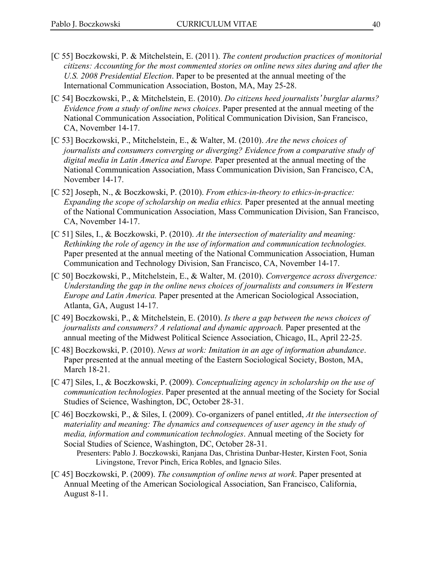- [C 55] Boczkowski, P. & Mitchelstein, E. (2011). *The content production practices of monitorial citizens: Accounting for the most commented stories on online news sites during and after the U.S. 2008 Presidential Election*. Paper to be presented at the annual meeting of the International Communication Association, Boston, MA, May 25-28.
- [C 54] Boczkowski, P., & Mitchelstein, E. (2010). *Do citizens heed journalists*' *burglar alarms? Evidence from a study of online news choices*. Paper presented at the annual meeting of the National Communication Association, Political Communication Division, San Francisco, CA, November 14-17.
- [C 53] Boczkowski, P., Mitchelstein, E., & Walter, M. (2010). *Are the news choices of journalists and consumers converging or diverging? Evidence from a comparative study of digital media in Latin America and Europe.* Paper presented at the annual meeting of the National Communication Association, Mass Communication Division, San Francisco, CA, November 14-17.
- [C 52] Joseph, N., & Boczkowski, P. (2010). *From ethics-in-theory to ethics-in-practice: Expanding the scope of scholarship on media ethics.* Paper presented at the annual meeting of the National Communication Association, Mass Communication Division, San Francisco, CA, November 14-17.
- [C 51] Siles, I., & Boczkowski, P. (2010). *At the intersection of materiality and meaning: Rethinking the role of agency in the use of information and communication technologies.* Paper presented at the annual meeting of the National Communication Association, Human Communication and Technology Division, San Francisco, CA, November 14-17.
- [C 50] Boczkowski, P., Mitchelstein, E., & Walter, M. (2010). *Convergence across divergence: Understanding the gap in the online news choices of journalists and consumers in Western Europe and Latin America.* Paper presented at the American Sociological Association, Atlanta, GA, August 14-17.
- [C 49] Boczkowski, P., & Mitchelstein, E. (2010). *Is there a gap between the news choices of journalists and consumers? A relational and dynamic approach.* Paper presented at the annual meeting of the Midwest Political Science Association, Chicago, IL, April 22-25.
- [C 48] Boczkowski, P. (2010). *News at work: Imitation in an age of information abundance*. Paper presented at the annual meeting of the Eastern Sociological Society, Boston, MA, March 18-21.
- [C 47] Siles, I., & Boczkowski, P. (2009). *Conceptualizing agency in scholarship on the use of communication technologies*. Paper presented at the annual meeting of the Society for Social Studies of Science, Washington, DC, October 28-31.
- [C 46] Boczkowski, P., & Siles, I. (2009). Co-organizers of panel entitled, *At the intersection of materiality and meaning: The dynamics and consequences of user agency in the study of media, information and communication technologies*. Annual meeting of the Society for Social Studies of Science, Washington, DC, October 28-31.
	- Presenters: Pablo J. Boczkowski, Ranjana Das, Christina Dunbar-Hester, Kirsten Foot, Sonia Livingstone, Trevor Pinch, Erica Robles, and Ignacio Siles.
- [C 45] Boczkowski, P. (2009). *The consumption of online news at work*. Paper presented at Annual Meeting of the American Sociological Association, San Francisco, California, August 8-11.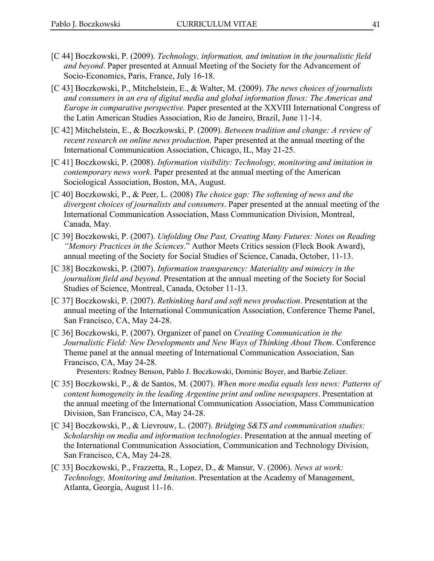- [C 44] Boczkowski, P. (2009). *Technology, information, and imitation in the journalistic field and beyond*. Paper presented at Annual Meeting of the Society for the Advancement of Socio-Economics, Paris, France, July 16-18.
- [C 43] Boczkowski, P., Mitchelstein, E., & Walter, M. (2009). *The news choices of journalists and consumers in an era of digital media and global information flows: The Americas and Europe in comparative perspective.* Paper presented at the XXVIII International Congress of the Latin American Studies Association, Rio de Janeiro, Brazil, June 11-14.
- [C 42] Mitchelstein, E., & Boczkowski, P. (2009). *Between tradition and change: A review of recent research on online news production*. Paper presented at the annual meeting of the International Communication Association, Chicago, IL, May 21-25.
- [C 41] Boczkowski, P. (2008). *Information visibility: Technology, monitoring and imitation in contemporary news work*. Paper presented at the annual meeting of the American Sociological Association, Boston, MA, August.
- [C 40] Boczkowski, P., & Peer, L. (2008) *The choice gap: The softening of news and the divergent choices of journalists and consumers*. Paper presented at the annual meeting of the International Communication Association, Mass Communication Division, Montreal, Canada, May.
- [C 39] Boczkowski, P. (2007). *Unfolding One Past, Creating Many Futures: Notes on Reading "Memory Practices in the Sciences*." Author Meets Critics session (Fleck Book Award), annual meeting of the Society for Social Studies of Science, Canada, October, 11-13.
- [C 38] Boczkowski, P. (2007). *Information transparency: Materiality and mimicry in the journalism field and beyond*. Presentation at the annual meeting of the Society for Social Studies of Science, Montreal, Canada, October 11-13.
- [C 37] Boczkowski, P. (2007). *Rethinking hard and soft news production*. Presentation at the annual meeting of the International Communication Association, Conference Theme Panel, San Francisco, CA, May 24-28.
- [C 36] Boczkowski, P. (2007). Organizer of panel on *Creating Communication in the Journalistic Field: New Developments and New Ways of Thinking About Them*. Conference Theme panel at the annual meeting of International Communication Association, San Francisco, CA, May 24-28.

Presenters: Rodney Benson, Pablo J. Boczkowski, Dominic Boyer, and Barbie Zelizer.

- [C 35] Boczkowski, P., & de Santos, M. (2007). *When more media equals less news: Patterns of content homogeneity in the leading Argentine print and online newspapers*. Presentation at the annual meeting of the International Communication Association, Mass Communication Division, San Francisco, CA, May 24-28.
- [C 34] Boczkowski, P., & Lievrouw, L. (2007). *Bridging S&TS and communication studies: Scholarship on media and information technologies*. Presentation at the annual meeting of the International Communication Association, Communication and Technology Division, San Francisco, CA, May 24-28.
- [C 33] Boczkowski, P., Frazzetta, R., Lopez, D., & Mansur, V. (2006). *News at work: Technology, Monitoring and Imitation*. Presentation at the Academy of Management, Atlanta, Georgia, August 11-16.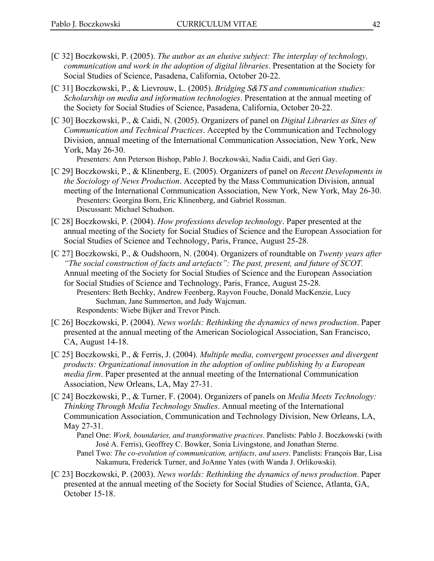- [C 32] Boczkowski, P. (2005). *The author as an elusive subject: The interplay of technology, communication and work in the adoption of digital libraries*. Presentation at the Society for Social Studies of Science, Pasadena, California, October 20-22.
- [C 31] Boczkowski, P., & Lievrouw, L. (2005). *Bridging S&TS and communication studies: Scholarship on media and information technologies*. Presentation at the annual meeting of the Society for Social Studies of Science, Pasadena, California, October 20-22.
- [C 30] Boczkowski, P., & Caidi, N. (2005). Organizers of panel on *Digital Libraries as Sites of Communication and Technical Practices*. Accepted by the Communication and Technology Division, annual meeting of the International Communication Association, New York, New York, May 26-30.

Presenters: Ann Peterson Bishop, Pablo J. Boczkowski, Nadia Caidi, and Geri Gay.

- [C 29] Boczkowski, P., & Klinenberg, E. (2005). Organizers of panel on *Recent Developments in the Sociology of News Production*. Accepted by the Mass Communication Division, annual meeting of the International Communication Association, New York, New York, May 26-30. Presenters: Georgina Born, Eric Klinenberg, and Gabriel Rossman. Discussant: Michael Schudson.
- [C 28] Boczkowski, P. (2004). *How professions develop technology*. Paper presented at the annual meeting of the Society for Social Studies of Science and the European Association for Social Studies of Science and Technology, Paris, France, August 25-28.
- [C 27] Boczkowski, P., & Oudshoorn, N. (2004). Organizers of roundtable on *Twenty years after "The social construction of facts and artefacts": The past, present, and future of SCOT.*  Annual meeting of the Society for Social Studies of Science and the European Association for Social Studies of Science and Technology, Paris, France, August 25-28.
	- Presenters: Beth Bechky, Andrew Feenberg, Rayvon Fouche, Donald MacKenzie, Lucy Suchman, Jane Summerton, and Judy Wajcman. Respondents: Wiebe Bijker and Trevor Pinch.
- [C 26] Boczkowski, P. (2004). *News worlds: Rethinking the dynamics of news production*. Paper presented at the annual meeting of the American Sociological Association, San Francisco, CA, August 14-18.
- [C 25] Boczkowski, P., & Ferris, J. (2004). *Multiple media, convergent processes and divergent products: Organizational innovation in the adoption of online publishing by a European media firm*. Paper presented at the annual meeting of the International Communication Association, New Orleans, LA, May 27-31.
- [C 24] Boczkowski, P., & Turner, F. (2004). Organizers of panels on *Media Meets Technology: Thinking Through Media Technology Studies*. Annual meeting of the International Communication Association, Communication and Technology Division, New Orleans, LA, May 27-31.

Panel One: *Work, boundaries, and transformative practices*. Panelists: Pablo J. Boczkowski (with José A. Ferris), Geoffrey C. Bowker, Sonia Livingstone, and Jonathan Sterne.

- Panel Two: *The co-evolution of communication, artifacts, and users*. Panelists: François Bar, Lisa Nakamura, Frederick Turner, and JoAnne Yates (with Wanda J. Orlikowski).
- [C 23] Boczkowski, P. (2003). *News worlds: Rethinking the dynamics of news production*. Paper presented at the annual meeting of the Society for Social Studies of Science, Atlanta, GA, October 15-18.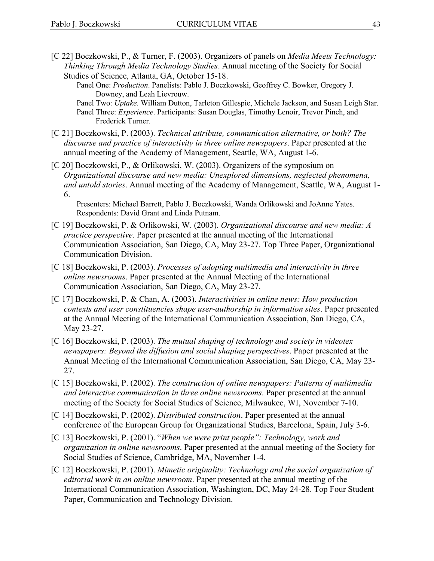- [C 22] Boczkowski, P., & Turner, F. (2003). Organizers of panels on *Media Meets Technology: Thinking Through Media Technology Studies*. Annual meeting of the Society for Social Studies of Science, Atlanta, GA, October 15-18.
	- Panel One: *Production*. Panelists: Pablo J. Boczkowski, Geoffrey C. Bowker, Gregory J. Downey, and Leah Lievrouw.
	- Panel Two: *Uptake*. William Dutton, Tarleton Gillespie, Michele Jackson, and Susan Leigh Star. Panel Three: *Experience*. Participants: Susan Douglas, Timothy Lenoir, Trevor Pinch, and Frederick Turner.
- [C 21] Boczkowski, P. (2003). *Technical attribute, communication alternative, or both? The discourse and practice of interactivity in three online newspapers*. Paper presented at the annual meeting of the Academy of Management, Seattle, WA, August 1-6.
- [C 20] Boczkowski, P., & Orlikowski, W. (2003). Organizers of the symposium on *Organizational discourse and new media: Unexplored dimensions, neglected phenomena, and untold stories*. Annual meeting of the Academy of Management, Seattle, WA, August 1- 6.

Presenters: Michael Barrett, Pablo J. Boczkowski, Wanda Orlikowski and JoAnne Yates. Respondents: David Grant and Linda Putnam.

- [C 19] Boczkowski, P. & Orlikowski, W. (2003). *Organizational discourse and new media: A practice perspective*. Paper presented at the annual meeting of the International Communication Association, San Diego, CA, May 23-27. Top Three Paper, Organizational Communication Division.
- [C 18] Boczkowski, P. (2003). *Processes of adopting multimedia and interactivity in three online newsrooms*. Paper presented at the Annual Meeting of the International Communication Association, San Diego, CA, May 23-27.
- [C 17] Boczkowski, P. & Chan, A. (2003). *Interactivities in online news: How production contexts and user constituencies shape user-authorship in information sites*. Paper presented at the Annual Meeting of the International Communication Association, San Diego, CA, May 23-27.
- [C 16] Boczkowski, P. (2003). *The mutual shaping of technology and society in videotex newspapers: Beyond the diffusion and social shaping perspectives*. Paper presented at the Annual Meeting of the International Communication Association, San Diego, CA, May 23- 27.
- [C 15] Boczkowski, P. (2002). *The construction of online newspapers: Patterns of multimedia and interactive communication in three online newsrooms*. Paper presented at the annual meeting of the Society for Social Studies of Science, Milwaukee, WI, November 7-10.
- [C 14] Boczkowski, P. (2002). *Distributed construction*. Paper presented at the annual conference of the European Group for Organizational Studies, Barcelona, Spain, July 3-6.
- [C 13] Boczkowski, P. (2001). "*When we were print people": Technology, work and organization in online newsrooms*. Paper presented at the annual meeting of the Society for Social Studies of Science, Cambridge, MA, November 1-4.
- [C 12] Boczkowski, P. (2001). *Mimetic originality: Technology and the social organization of editorial work in an online newsroom*. Paper presented at the annual meeting of the International Communication Association, Washington, DC, May 24-28. Top Four Student Paper, Communication and Technology Division.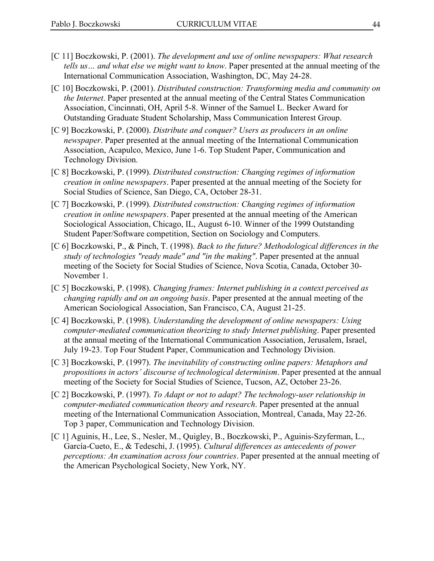- [C 11] Boczkowski, P. (2001). *The development and use of online newspapers: What research tells us… and what else we might want to know*. Paper presented at the annual meeting of the International Communication Association, Washington, DC, May 24-28.
- [C 10] Boczkowski, P. (2001). *Distributed construction: Transforming media and community on the Internet*. Paper presented at the annual meeting of the Central States Communication Association, Cincinnati, OH, April 5-8. Winner of the Samuel L. Becker Award for Outstanding Graduate Student Scholarship, Mass Communication Interest Group.
- [C 9] Boczkowski, P. (2000). *Distribute and conquer? Users as producers in an online newspaper*. Paper presented at the annual meeting of the International Communication Association, Acapulco, Mexico, June 1-6. Top Student Paper, Communication and Technology Division.
- [C 8] Boczkowski, P. (1999). *Distributed construction: Changing regimes of information creation in online newspapers*. Paper presented at the annual meeting of the Society for Social Studies of Science, San Diego, CA, October 28-31.
- [C 7] Boczkowski, P. (1999). *Distributed construction: Changing regimes of information creation in online newspapers*. Paper presented at the annual meeting of the American Sociological Association, Chicago, IL, August 6-10. Winner of the 1999 Outstanding Student Paper/Software competition, Section on Sociology and Computers.
- [C 6] Boczkowski, P., & Pinch, T. (1998). *Back to the future? Methodological differences in the study of technologies "ready made" and "in the making"*. Paper presented at the annual meeting of the Society for Social Studies of Science, Nova Scotia, Canada, October 30- November 1.
- [C 5] Boczkowski, P. (1998). *Changing frames: Internet publishing in a context perceived as changing rapidly and on an ongoing basis*. Paper presented at the annual meeting of the American Sociological Association, San Francisco, CA, August 21-25.
- [C 4] Boczkowski, P. (1998). *Understanding the development of online newspapers: Using computer-mediated communication theorizing to study Internet publishing*. Paper presented at the annual meeting of the International Communication Association, Jerusalem, Israel, July 19-23. Top Four Student Paper, Communication and Technology Division.
- [C 3] Boczkowski, P. (1997). *The inevitability of constructing online papers: Metaphors and propositions in actors' discourse of technological determinism*. Paper presented at the annual meeting of the Society for Social Studies of Science, Tucson, AZ, October 23-26.
- [C 2] Boczkowski, P. (1997). *To Adapt or not to adapt? The technology-user relationship in computer-mediated communication theory and research*. Paper presented at the annual meeting of the International Communication Association, Montreal, Canada, May 22-26. Top 3 paper, Communication and Technology Division.
- [C 1] Aguinis, H., Lee, S., Nesler, M., Quigley, B., Boczkowski, P., Aguinis-Szyferman, L., García-Cueto, E., & Tedeschi, J. (1995). *Cultural differences as antecedents of power perceptions: An examination across four countries*. Paper presented at the annual meeting of the American Psychological Society, New York, NY.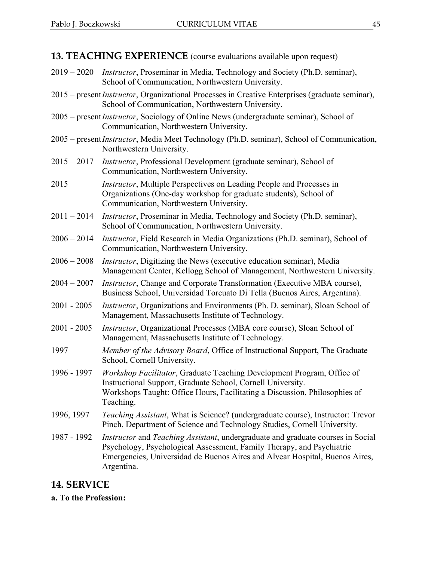**13. TEACHING EXPERIENCE** (course evaluations available upon request)

- 2019 2020 *Instructor*, Proseminar in Media, Technology and Society (Ph.D. seminar), School of Communication, Northwestern University.
- 2015 present*Instructor*, Organizational Processes in Creative Enterprises (graduate seminar), School of Communication, Northwestern University.
- 2005 present*Instructor*, Sociology of Online News (undergraduate seminar), School of Communication, Northwestern University.
- 2005 present*Instructor*, Media Meet Technology (Ph.D. seminar), School of Communication, Northwestern University.
- 2015 2017 *Instructor*, Professional Development (graduate seminar), School of Communication, Northwestern University.
- 2015 *Instructor*, Multiple Perspectives on Leading People and Processes in Organizations (One-day workshop for graduate students), School of Communication, Northwestern University.
- 2011 2014 *Instructor*, Proseminar in Media, Technology and Society (Ph.D. seminar), School of Communication, Northwestern University.
- 2006 2014 *Instructor*, Field Research in Media Organizations (Ph.D. seminar), School of Communication, Northwestern University.
- 2006 2008 *Instructor*, Digitizing the News (executive education seminar), Media Management Center, Kellogg School of Management, Northwestern University.
- 2004 2007 *Instructor*, Change and Corporate Transformation (Executive MBA course), Business School, Universidad Torcuato Di Tella (Buenos Aires, Argentina).
- 2001 2005 *Instructor*, Organizations and Environments (Ph. D. seminar), Sloan School of Management, Massachusetts Institute of Technology.
- 2001 2005 *Instructor*, Organizational Processes (MBA core course), Sloan School of Management, Massachusetts Institute of Technology.
- 1997 *Member of the Advisory Board*, Office of Instructional Support, The Graduate School, Cornell University.
- 1996 1997 *Workshop Facilitator*, Graduate Teaching Development Program, Office of Instructional Support, Graduate School, Cornell University. Workshops Taught: Office Hours, Facilitating a Discussion, Philosophies of Teaching.
- 1996, 1997 *Teaching Assistant*, What is Science? (undergraduate course), Instructor: Trevor Pinch, Department of Science and Technology Studies, Cornell University.
- 1987 1992 *Instructor* and *Teaching Assistant*, undergraduate and graduate courses in Social Psychology, Psychological Assessment, Family Therapy, and Psychiatric Emergencies, Universidad de Buenos Aires and Alvear Hospital, Buenos Aires, Argentina.

## **14. SERVICE**

**a. To the Profession:**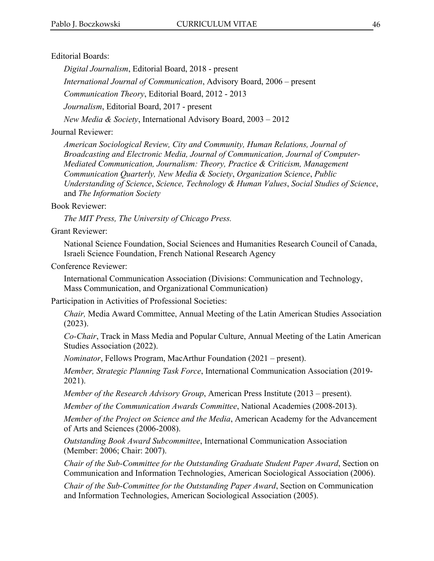#### Editorial Boards:

*Digital Journalism*, Editorial Board, 2018 - present

*International Journal of Communication*, Advisory Board, 2006 – present

*Communication Theory*, Editorial Board, 2012 - 2013

*Journalism*, Editorial Board, 2017 - present

*New Media & Society*, International Advisory Board, 2003 – 2012

#### Journal Reviewer:

*American Sociological Review, City and Community, Human Relations, Journal of Broadcasting and Electronic Media, Journal of Communication, Journal of Computer-Mediated Communication, Journalism: Theory, Practice & Criticism, Management Communication Quarterly, New Media & Society*, *Organization Science*, *Public Understanding of Science*, *Science, Technology & Human Values*, *Social Studies of Science*, and *The Information Society*

#### Book Reviewer:

*The MIT Press, The University of Chicago Press.*

#### Grant Reviewer:

National Science Foundation, Social Sciences and Humanities Research Council of Canada, Israeli Science Foundation, French National Research Agency

#### Conference Reviewer:

International Communication Association (Divisions: Communication and Technology, Mass Communication, and Organizational Communication)

Participation in Activities of Professional Societies:

*Chair,* Media Award Committee, Annual Meeting of the Latin American Studies Association (2023).

*Co-Chair*, Track in Mass Media and Popular Culture, Annual Meeting of the Latin American Studies Association (2022).

*Nominator*, Fellows Program, MacArthur Foundation (2021 – present).

*Member, Strategic Planning Task Force*, International Communication Association (2019- 2021).

*Member of the Research Advisory Group*, American Press Institute (2013 – present).

*Member of the Communication Awards Committee*, National Academies (2008-2013).

*Member of the Project on Science and the Media*, American Academy for the Advancement of Arts and Sciences (2006-2008).

*Outstanding Book Award Subcommittee*, International Communication Association (Member: 2006; Chair: 2007).

*Chair of the Sub-Committee for the Outstanding Graduate Student Paper Award*, Section on Communication and Information Technologies, American Sociological Association (2006).

*Chair of the Sub-Committee for the Outstanding Paper Award*, Section on Communication and Information Technologies, American Sociological Association (2005).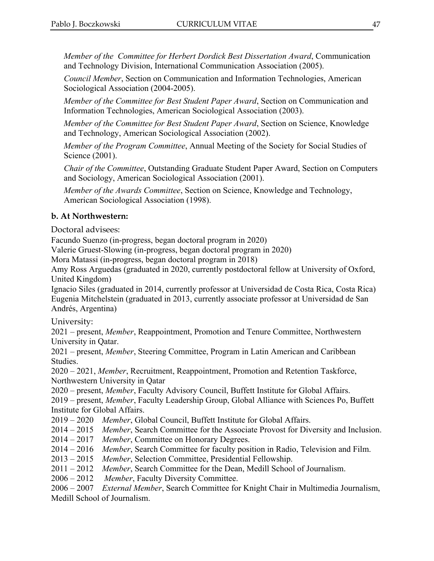*Member of the Committee for Herbert Dordick Best Dissertation Award*, Communication and Technology Division, International Communication Association (2005).

*Council Member*, Section on Communication and Information Technologies, American Sociological Association (2004-2005).

*Member of the Committee for Best Student Paper Award*, Section on Communication and Information Technologies, American Sociological Association (2003).

*Member of the Committee for Best Student Paper Award*, Section on Science, Knowledge and Technology, American Sociological Association (2002).

*Member of the Program Committee*, Annual Meeting of the Society for Social Studies of Science (2001).

*Chair of the Committee*, Outstanding Graduate Student Paper Award, Section on Computers and Sociology, American Sociological Association (2001).

*Member of the Awards Committee*, Section on Science, Knowledge and Technology, American Sociological Association (1998).

#### **b. At Northwestern:**

Doctoral advisees:

Facundo Suenzo (in-progress, began doctoral program in 2020)

Valerie Gruest-Slowing (in-progress, began doctoral program in 2020)

Mora Matassi (in-progress, began doctoral program in 2018)

Amy Ross Arguedas (graduated in 2020, currently postdoctoral fellow at University of Oxford, United Kingdom)

Ignacio Siles (graduated in 2014, currently professor at Universidad de Costa Rica, Costa Rica) Eugenia Mitchelstein (graduated in 2013, currently associate professor at Universidad de San Andrés, Argentina)

University:

2021 – present, *Member*, Reappointment, Promotion and Tenure Committee, Northwestern University in Qatar.

2021 – present, *Member*, Steering Committee, Program in Latin American and Caribbean Studies.

2020 – 2021, *Member*, Recruitment, Reappointment, Promotion and Retention Taskforce, Northwestern University in Qatar

2020 – present, *Member*, Faculty Advisory Council, Buffett Institute for Global Affairs.

2019 – present, *Member*, Faculty Leadership Group, Global Alliance with Sciences Po, Buffett Institute for Global Affairs.

2019 – 2020 *Member*, Global Council, Buffett Institute for Global Affairs.

2014 – 2015 *Member*, Search Committee for the Associate Provost for Diversity and Inclusion.

2014 – 2017 *Member*, Committee on Honorary Degrees.

2014 – 2016 *Member*, Search Committee for faculty position in Radio, Television and Film.

2013 – 2015 *Member*, Selection Committee, Presidential Fellowship.

2011 – 2012 *Member*, Search Committee for the Dean, Medill School of Journalism.

2006 – 2012 *Member*, Faculty Diversity Committee.

2006 – 2007 *External Member*, Search Committee for Knight Chair in Multimedia Journalism, Medill School of Journalism.